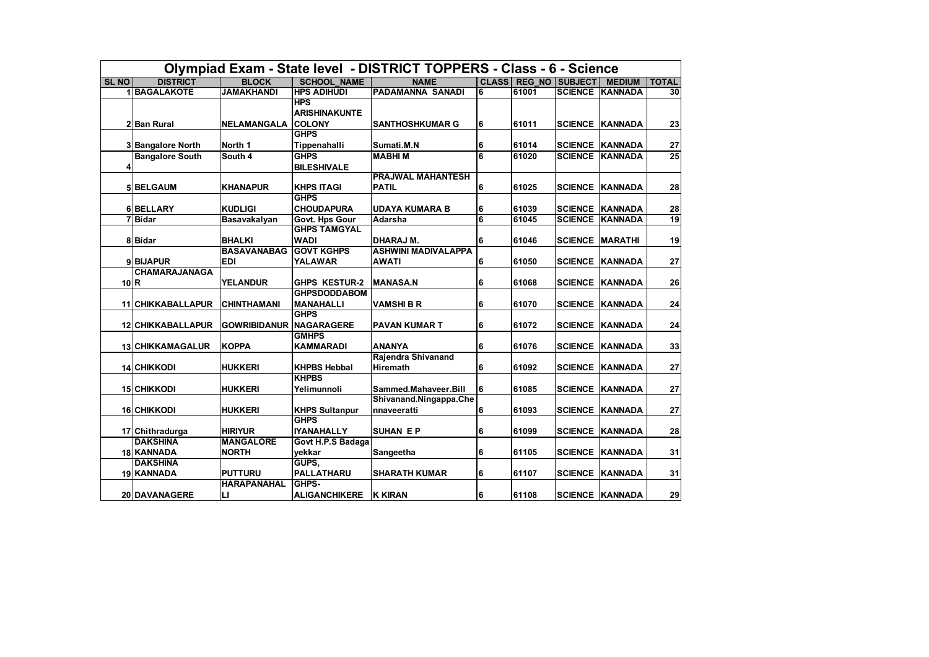|              |                          |                                |                                    | Olympiad Exam - State level - DISTRICT TOPPERS - Class - 6 - Science |   |       |                             |                        |              |
|--------------|--------------------------|--------------------------------|------------------------------------|----------------------------------------------------------------------|---|-------|-----------------------------|------------------------|--------------|
| <b>SL NO</b> | <b>DISTRICT</b>          | <b>BLOCK</b>                   | <b>SCHOOL NAME</b>                 | <b>NAME</b>                                                          |   |       | <b>CLASS REG NO SUBJECT</b> | <b>MEDIUM</b>          | <b>TOTAL</b> |
|              | 1 BAGALAKOTE             | <b>JAMAKHANDI</b>              | <b>HPS ADIHUDI</b>                 | <b>PADAMANNA SANADI</b>                                              | 6 | 61001 |                             | <b>SCIENCE KANNADA</b> | 30           |
|              |                          |                                | <b>HPS</b><br><b>ARISHINAKUNTE</b> |                                                                      |   |       |                             |                        |              |
|              | 2 Ban Rural              | <b>NELAMANGALA COLONY</b>      |                                    | <b>SANTHOSHKUMAR G</b>                                               | 6 | 61011 |                             | <b>SCIENCE KANNADA</b> | 23           |
|              |                          |                                | <b>GHPS</b>                        |                                                                      |   |       |                             |                        |              |
|              | 3 Bangalore North        | North 1                        | Tippenahalli                       | Sumati.M.N                                                           | 6 | 61014 |                             | <b>SCIENCE KANNADA</b> | 27           |
| 4            | <b>Bangalore South</b>   | South 4                        | <b>GHPS</b><br><b>BILESHIVALE</b>  | <b>MABHIM</b>                                                        | 6 | 61020 |                             | <b>SCIENCE KANNADA</b> | 25           |
|              |                          |                                |                                    | PRAJWAL MAHANTESH                                                    |   |       |                             |                        |              |
|              | 5 BELGAUM                | <b>KHANAPUR</b>                | <b>KHPS ITAGI</b>                  | <b>PATIL</b>                                                         | 6 | 61025 |                             | <b>SCIENCE KANNADA</b> | 28           |
|              |                          |                                | <b>GHPS</b>                        |                                                                      |   |       |                             |                        |              |
|              | 6 BELLARY                | <b>KUDLIGI</b>                 | <b>CHOUDAPURA</b>                  | <b>UDAYA KUMARA B</b>                                                | 6 | 61039 |                             | <b>SCIENCE KANNADA</b> | 28           |
|              | 7 Bidar                  | Basavakalyan                   | Govt. Hps Gour                     | Adarsha                                                              | 6 | 61045 |                             | <b>SCIENCE KANNADA</b> | 19           |
|              |                          |                                | <b>GHPS TAMGYAL</b>                |                                                                      |   |       |                             |                        |              |
|              | 8 Bidar                  | <b>BHALKI</b>                  | <b>WADI</b>                        | <b>DHARAJ M.</b>                                                     | 6 | 61046 |                             | <b>SCIENCE MARATHI</b> | 19           |
|              |                          | <b>BASAVANABAG</b>             | <b>GOVT KGHPS</b>                  | <b>ASHWINI MADIVALAPPA</b>                                           |   |       |                             |                        |              |
|              | 9 BIJAPUR                | <b>EDI</b>                     | <b>YALAWAR</b>                     | <b>AWATI</b>                                                         | 6 | 61050 |                             | <b>SCIENCE KANNADA</b> | 27           |
|              | <b>CHAMARAJANAGA</b>     |                                |                                    |                                                                      |   |       |                             |                        |              |
| 10 R         |                          | <b>YELANDUR</b>                | <b>GHPS KESTUR-2</b>               | <b>MANASA.N</b>                                                      | 6 | 61068 |                             | <b>SCIENCE KANNADA</b> | 26           |
|              |                          |                                | <b>GHPSDODDABOM</b>                |                                                                      |   |       |                             |                        |              |
|              | <b>11 CHIKKABALLAPUR</b> | <b>CHINTHAMANI</b>             | <b>MANAHALLI</b>                   | <b>VAMSHIBR</b>                                                      | 6 | 61070 |                             | <b>SCIENCE KANNADA</b> | 24           |
|              |                          |                                | <b>GHPS</b>                        |                                                                      |   |       |                             |                        |              |
|              | 12 CHIKKABALLAPUR        | <b>GOWRIBIDANUR NAGARAGERE</b> |                                    | <b>PAVAN KUMAR T</b>                                                 | 6 | 61072 |                             | <b>SCIENCE KANNADA</b> | 24           |
|              |                          |                                | <b>GMHPS</b>                       |                                                                      |   |       |                             |                        |              |
|              | <b>13 CHIKKAMAGALUR</b>  | <b>KOPPA</b>                   | <b>KAMMARADI</b>                   | <b>ANANYA</b>                                                        | 6 | 61076 |                             | <b>SCIENCE KANNADA</b> | 33           |
|              |                          |                                |                                    | Rajendra Shivanand                                                   |   |       |                             |                        |              |
|              | <b>14 CHIKKODI</b>       | <b>HUKKERI</b>                 | <b>KHPBS Hebbal</b>                | <b>Hiremath</b>                                                      | 6 | 61092 |                             | <b>SCIENCE KANNADA</b> | 27           |
|              |                          |                                | <b>KHPBS</b>                       |                                                                      |   |       |                             |                        |              |
|              |                          |                                |                                    |                                                                      |   |       |                             |                        |              |
|              | <b>15 CHIKKODI</b>       | <b>HUKKERI</b>                 | Yelimunnoli                        | Sammed.Mahaveer.Bill                                                 | 6 | 61085 |                             | <b>SCIENCE KANNADA</b> | 27           |
|              |                          |                                |                                    | Shivanand.Ningappa.Che                                               |   |       |                             |                        |              |
|              | <b>16 CHIKKODI</b>       | <b>HUKKERI</b>                 | <b>KHPS Sultanpur</b>              | nnaveeratti                                                          | 6 | 61093 |                             | <b>SCIENCE KANNADA</b> | 27           |
|              |                          |                                | <b>GHPS</b>                        |                                                                      |   |       |                             |                        |              |
|              | 17 Chithradurga          | <b>HIRIYUR</b>                 | <b>IYANAHALLY</b>                  | <b>SUHAN EP</b>                                                      | 6 | 61099 |                             | <b>SCIENCE KANNADA</b> | 28           |
|              | <b>DAKSHINA</b>          | <b>MANGALORE</b>               | Govt H.P.S Badaga                  |                                                                      |   |       |                             |                        |              |
|              | 18 KANNADA               | <b>NORTH</b>                   | vekkar                             | Sangeetha                                                            | 6 | 61105 |                             | <b>SCIENCE KANNADA</b> | 31           |
|              | <b>DAKSHINA</b>          |                                | GUPS,                              |                                                                      |   |       |                             |                        |              |
|              | 19 KANNADA               | <b>PUTTURU</b>                 | <b>PALLATHARU</b>                  | <b>SHARATH KUMAR</b>                                                 | 6 | 61107 |                             | <b>SCIENCE KANNADA</b> | 31           |
|              |                          | <b>HARAPANAHAL</b>             | GHPS-                              |                                                                      |   |       |                             |                        |              |
|              | 20 DAVANAGERE            | Ы                              | <b>ALIGANCHIKERE</b>               | <b>K KIRAN</b>                                                       | 6 | 61108 |                             | <b>SCIENCE KANNADA</b> | 29           |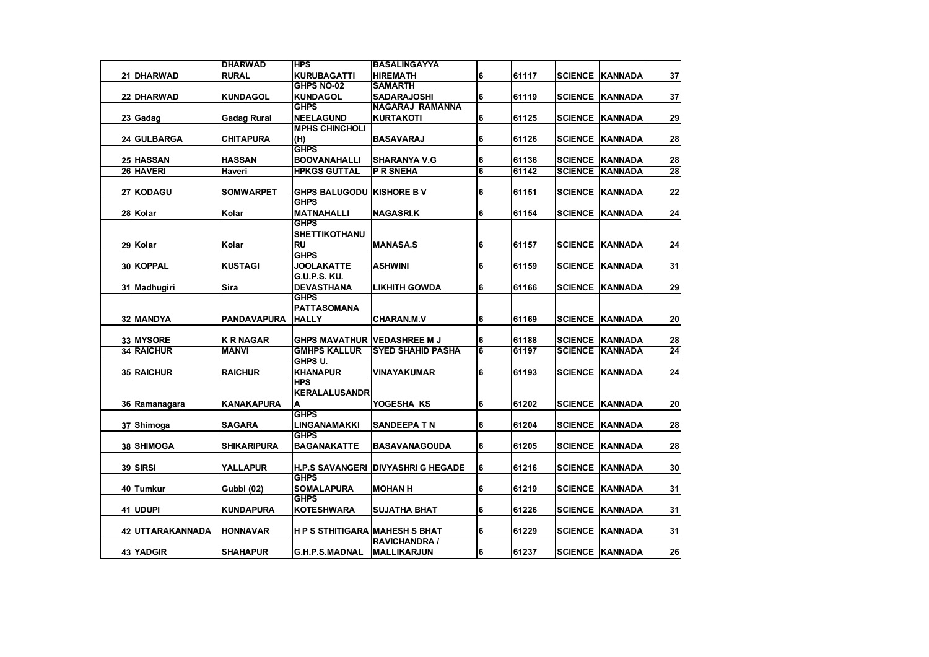|                  | <b>DHARWAD</b>     | <b>HPS</b>                         | <b>BASALINGAYYA</b>                       |                 |       |                |                        |                 |
|------------------|--------------------|------------------------------------|-------------------------------------------|-----------------|-------|----------------|------------------------|-----------------|
| 21 DHARWAD       | <b>RURAL</b>       | <b>KURUBAGATTI</b>                 | <b>HIREMATH</b>                           | 6               | 61117 |                | <b>SCIENCE KANNADA</b> | 37              |
|                  |                    | GHPS NO-02                         | <b>SAMARTH</b>                            |                 |       |                |                        |                 |
| 22 DHARWAD       | <b>KUNDAGOL</b>    | <b>KUNDAGOL</b>                    | <b>SADARAJOSHI</b>                        | 6               | 61119 |                | <b>SCIENCE KANNADA</b> | 37              |
|                  |                    | <b>GHPS</b>                        | <b>NAGARAJ RAMANNA</b>                    |                 |       |                |                        |                 |
| 23 Gadag         | <b>Gadag Rural</b> | <b>NEELAGUND</b>                   | <b>KURTAKOTI</b>                          | 6               | 61125 |                | <b>SCIENCE KANNADA</b> | 29              |
|                  |                    | <b>MPHS CHINCHOLI</b>              |                                           |                 |       |                |                        |                 |
| 24 GULBARGA      | <b>CHITAPURA</b>   | (H)                                | <b>BASAVARAJ</b>                          | 6               | 61126 |                | <b>SCIENCE KANNADA</b> | 28              |
|                  |                    | <b>GHPS</b>                        |                                           |                 |       |                |                        |                 |
| <b>25 HASSAN</b> | <b>HASSAN</b>      | <b>BOOVANAHALLI</b>                | <b>SHARANYA V.G</b>                       | 6               | 61136 |                | SCIENCE  KANNADA       | 28              |
| <b>26 HAVERI</b> | Haveri             | <b>HPKGS GUTTAL</b>                | <b>P R SNEHA</b>                          | 6               | 61142 |                | <b>SCIENCE KANNADA</b> | 28              |
|                  |                    |                                    |                                           |                 |       |                |                        |                 |
| 27 KODAGU        | <b>SOMWARPET</b>   | <b>GHPS BALUGODU KISHORE B V</b>   |                                           | 6               | 61151 |                | SCIENCE  KANNADA       | 22              |
|                  |                    | <b>GHPS</b>                        |                                           |                 |       |                |                        |                 |
| 28 Kolar         | Kolar              | <b>MATNAHALLI</b><br><b>GHPS</b>   | <b>NAGASRI.K</b>                          | 6               | 61154 |                | <b>SCIENCE KANNADA</b> | 24              |
|                  |                    | <b>SHETTIKOTHANU</b>               |                                           |                 |       |                |                        |                 |
|                  |                    | <b>RU</b>                          |                                           |                 | 61157 |                |                        |                 |
| 29 Kolar         | Kolar              | <b>GHPS</b>                        | <b>MANASA.S</b>                           | 6               |       |                | <b>SCIENCE KANNADA</b> | 24              |
| 30 KOPPAL        | <b>KUSTAGI</b>     | <b>JOOLAKATTE</b>                  | <b>ASHWINI</b>                            | 6               | 61159 |                | <b>SCIENCE KANNADA</b> | 31              |
|                  |                    | <b>G.U.P.S. KU.</b>                |                                           |                 |       |                |                        |                 |
| 31 Madhugiri     | Sira               | DEVASTHANA                         | LIKHITH GOWDA                             | 6               | 61166 | <b>SCIENCE</b> | KANNADA                | 29              |
|                  |                    | <b>GHPS</b>                        |                                           |                 |       |                |                        |                 |
|                  |                    | <b>PATTASOMANA</b>                 |                                           |                 |       |                |                        |                 |
| 32 MANDYA        | <b>PANDAVAPURA</b> | <b>HALLY</b>                       | <b>CHARAN.M.V</b>                         | 6               | 61169 |                | <b>SCIENCE KANNADA</b> | 20              |
|                  |                    |                                    |                                           |                 |       |                |                        |                 |
| 33 MYSORE        | <b>K R NAGAR</b>   | <b>GHPS MAVATHUR VEDASHREE M J</b> |                                           | 6               | 61188 |                | <b>SCIENCE KANNADA</b> | 28              |
| 34 RAICHUR       | <b>MANVI</b>       | <b>GMHPS KALLUR</b>                | <b>SYED SHAHID PASHA</b>                  | $6\overline{6}$ | 61197 |                | <b>SCIENCE KANNADA</b> | $\overline{24}$ |
|                  |                    | GHPS U.                            |                                           |                 |       |                |                        |                 |
| 35 RAICHUR       | <b>RAICHUR</b>     | KHANAPUR                           | <b>VINAYAKUMAR</b>                        | 6               | 61193 |                | <b>SCIENCE KANNADA</b> | 24              |
|                  |                    | <b>HPS</b>                         |                                           |                 |       |                |                        |                 |
|                  |                    | <b>KERALALUSANDR</b>               |                                           |                 |       |                |                        |                 |
| 36 Ramanagara    | <b>KANAKAPURA</b>  | А                                  | YOGESHA KS                                | 6               | 61202 |                | <b>SCIENCE KANNADA</b> | 20              |
|                  |                    | <b>GHPS</b>                        |                                           |                 |       |                |                        |                 |
| 37 Shimoga       | <b>SAGARA</b>      | LINGANAMAKKI                       | <b>SANDEEPATN</b>                         | 6               | 61204 |                | <b>SCIENCE KANNADA</b> | 28              |
|                  |                    | <b>GHPS</b>                        |                                           |                 |       |                |                        |                 |
| 38 SHIMOGA       | <b>SHIKARIPURA</b> | <b>BAGANAKATTE</b>                 | <b>BASAVANAGOUDA</b>                      | 6               | 61205 |                | <b>SCIENCE KANNADA</b> | 28              |
|                  |                    |                                    |                                           |                 |       |                |                        |                 |
| 39 SIRSI         | <b>YALLAPUR</b>    |                                    | <b>H.P.S SAVANGERI DIVYASHRI G HEGADE</b> | 6               | 61216 |                | <b>SCIENCE KANNADA</b> | 30              |
|                  |                    | <b>GHPS</b>                        |                                           |                 |       |                |                        |                 |
| 40 Tumkur        | Gubbi (02)         | <b>SOMALAPURA</b>                  | <b>MOHAN H</b>                            | 6               | 61219 |                | <b>SCIENCE KANNADA</b> | 31              |
|                  |                    | <b>GHPS</b>                        |                                           |                 |       |                |                        |                 |
| 41 UDUPI         | <b>KUNDAPURA</b>   | <b>KOTESHWARA</b>                  | <b>SUJATHA BHAT</b>                       | 6               | 61226 |                | <b>SCIENCE KANNADA</b> | 31              |
|                  |                    |                                    |                                           |                 |       |                |                        |                 |
| 42 UTTARAKANNADA | <b>HONNAVAR</b>    | H P S STHITIGARA MAHESH S BHAT     |                                           | 6               | 61229 |                | SCIENCE  KANNADA       | 31              |
|                  |                    |                                    | <b>RAVICHANDRA /</b>                      |                 |       |                |                        |                 |
| <b>43 YADGIR</b> | <b>SHAHAPUR</b>    | <b>G.H.P.S.MADNAL</b>              | <b>MALLIKARJUN</b>                        | 6               | 61237 |                | <b>SCIENCE KANNADA</b> | 26              |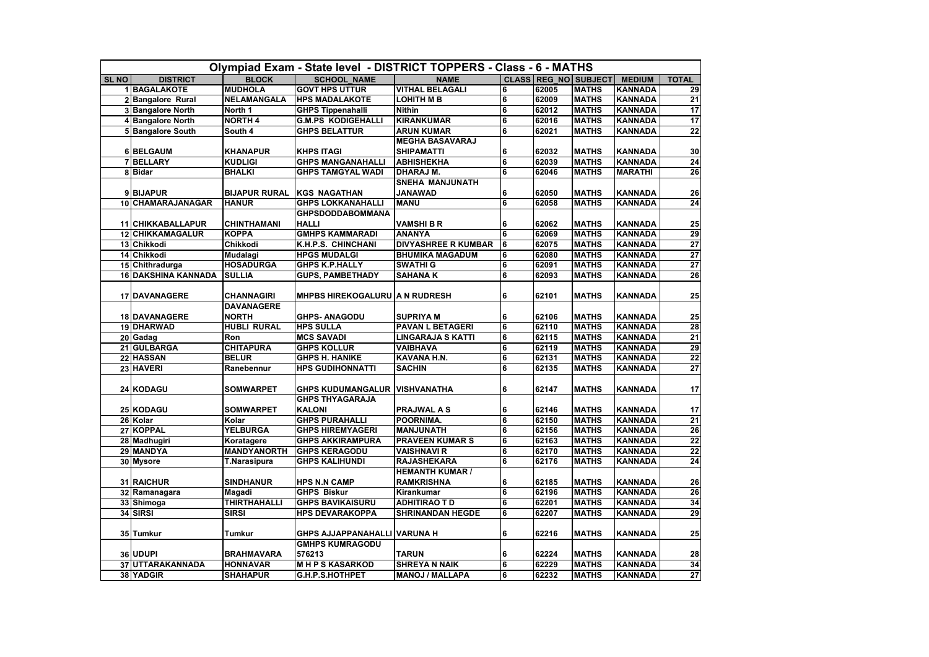| <b>BLOCK</b><br><b>CLASS REG NO SUBJECT</b><br><b>SL NO</b><br><b>DISTRICT</b><br><b>SCHOOL_NAME</b><br><b>NAME</b><br><b>MEDIUM</b><br>1 BAGALAKOTE<br><b>MUDHOLA</b><br><b>GOVT HPS UTTUR</b><br><b>VITHAL BELAGALI</b><br>62005<br><b>MATHS</b><br>KANNADA<br>29<br>6<br><b>NELAMANGALA</b><br><b>LOHITH MB</b><br>62009<br><b>MATHS</b><br><b>KANNADA</b><br>21<br>2 Bangalore Rural<br><b>HPS MADALAKOTE</b><br>6<br><b>MATHS</b><br>17<br>3 Bangalore North<br><b>GHPS Tippenahalli</b><br><b>Nithin</b><br>6<br>62012<br><b>KANNADA</b><br>North 1<br><b>NORTH4</b><br>62016<br><b>MATHS</b><br>17<br>4 Bangalore North<br><b>G.M.PS KODIGEHALLI</b><br><b>KIRANKUMAR</b><br>6<br><b>KANNADA</b><br>22<br>5 Bangalore South<br><b>ARUN KUMAR</b><br>62021<br><b>MATHS</b><br><b>KANNADA</b><br>South 4<br><b>GHPS BELATTUR</b><br>6<br><b>MEGHA BASAVARAJ</b><br>30<br>6 BELGAUM<br>62032<br><b>KANNADA</b><br><b>KHANAPUR</b><br><b>KHPS ITAGI</b><br><b>SHIPAMATTI</b><br>6<br><b>MATHS</b><br>62039<br>24<br>7 BELLARY<br><b>GHPS MANGANAHALLI</b><br><b>KUDLIGI</b><br><b>ABHISHEKHA</b><br>6<br><b>MATHS</b><br><b>KANNADA</b><br>26<br>62046<br><b>MATHS</b><br><b>GHPS TAMGYAL WADI</b><br><b>MARATHI</b><br>8 Bidar<br><b>BHALKI</b><br><b>DHARAJ M.</b><br>6<br><b>SNEHA MANJUNATH</b><br>26<br>$6\phantom{1}6$<br>62050<br><b>KANNADA</b><br>9 BIJAPUR<br><b>BIJAPUR RURAL</b><br><b>KGS NAGATHAN</b><br>JANAWAD<br><b>MATHS</b><br>10 CHAMARAJANAGAR<br>6<br>62058<br>24<br><b>MANU</b><br><b>MATHS</b><br><b>KANNADA</b><br><b>HANUR</b><br><b>GHPS LOKKANAHALLI</b><br><b>GHPSDODDABOMMANA</b><br>25<br><b>HALLI</b><br>62062<br><b>MATHS</b><br><b>KANNADA</b><br>11 CHIKKABALLAPUR<br><b>CHINTHAMANI</b><br><b>VAMSHIBR</b><br>6<br>29<br><b>KOPPA</b><br><b>GMHPS KAMMARADI</b><br>6<br>62069<br>12 CHIKKAMAGALUR<br><b>ANANYA</b><br><b>MATHS</b><br><b>KANNADA</b><br>$\overline{27}$<br>13 Chikkodi<br>Chikkodi<br><b>K.H.P.S. CHINCHANI</b><br><b>DIVYASHREE R KUMBAR</b><br>6<br>62075<br><b>MATHS</b><br><b>KANNADA</b><br>27<br>62080<br>14 Chikkodi<br><b>HPGS MUDALGI</b><br><b>BHUMIKA MAGADUM</b><br>6<br><b>MATHS</b><br><b>KANNADA</b><br>Mudalagi<br>27<br>15 Chithradurga<br><b>HOSADURGA</b><br>62091<br><b>MATHS</b><br><b>KANNADA</b><br><b>GHPS K.P.HALLY</b><br><b>SWATHI G</b><br>6<br><b>16 DAKSHINA KANNADA</b><br><b>GUPS, PAMBETHADY</b><br><b>SAHANAK</b><br>62093<br><b>MATHS</b><br>KANNADA<br>26<br><b>SULLIA</b><br>6<br>25<br>17 DAVANAGERE<br><b>MHPBS HIREKOGALURU A N RUDRESH</b><br>62101<br><b>MATHS</b><br><b>KANNADA</b><br><b>CHANNAGIRI</b><br>6<br><b>DAVANAGERE</b><br>25<br><b>NORTH</b><br>62106<br><b>MATHS</b><br>18 DAVANAGERE<br><b>GHPS-ANAGODU</b><br><b>SUPRIYA M</b><br>6<br><b>KANNADA</b><br>28<br>19 DHARWAD<br><b>HUBLI RURAL</b><br>6<br>62110<br><b>KANNADA</b><br><b>HPS SULLA</b><br><b>PAVAN L BETAGERI</b><br><b>MATHS</b><br>21<br><b>MCS SAVADI</b><br>62115<br><b>MATHS</b><br><b>KANNADA</b><br>20 Gadag<br>Ron<br><b>LINGARAJA S KATTI</b><br>6<br>29<br>21 GULBARGA<br><b>CHITAPURA</b><br>62119<br><b>MATHS</b><br><b>KANNADA</b><br><b>GHPS KOLLUR</b><br><b>VAIBHAVA</b><br>6<br>22<br>22 HASSAN<br><b>BELUR</b><br><b>GHPS H. HANIKE</b><br>KAVANA H.N.<br>62131<br><b>MATHS</b><br><b>KANNADA</b><br>6<br>62135<br><b>MATHS</b><br><b>KANNADA</b><br>$\overline{27}$<br>23 HAVERI<br><b>HPS GUDIHONNATTI</b><br>SACHIN<br>6<br>Ranebennur<br>17<br>24 KODAGU<br>6<br>62147<br><b>MATHS</b><br><b>KANNADA</b><br>SOMWARPET<br><b>GHPS KUDUMANGALUR</b><br><b>VISHVANATHA</b><br><b>GHPS THYAGARAJA</b><br>25 KODAGU<br><b>KALONI</b><br><b>PRAJWAL A S</b><br>6<br>62146<br><b>KANNADA</b><br>17<br><b>SOMWARPET</b><br><b>MATHS</b><br>$\overline{21}$<br><b>GHPS PURAHALLI</b><br>POORNIMA.<br>6<br>62150<br><b>MATHS</b><br><b>KANNADA</b><br>26 Kolar<br>Kolar<br>26<br>27 KOPPAL<br><b>YELBURGA</b><br><b>GHPS HIREMYAGERI</b><br>6<br>62156<br><b>MATHS</b><br><b>KANNADA</b><br><b>MANJUNATH</b><br>$\overline{22}$<br>62163<br>28 Madhugiri<br>Koratagere<br><b>PRAVEEN KUMARS</b><br>6<br><b>MATHS</b><br><b>KANNADA</b><br><b>GHPS AKKIRAMPURA</b><br>$\overline{22}$<br>29 MANDYA<br>6<br>62170<br><b>MATHS</b><br><b>MANDYANORTH</b><br><b>GHPS KERAGODU</b><br><b>VAISHNAVI R</b><br><b>KANNADA</b><br>24<br>6<br>62176<br><b>MATHS</b><br>KANNADA<br>30 Mysore<br><b>GHPS KALIHUNDI</b><br><b>RAJASHEKARA</b><br>T.Narasipura<br><b>HEMANTH KUMAR /</b><br>31 RAICHUR<br><b>SINDHANUR</b><br>62185<br><b>MATHS</b><br><b>KANNADA</b><br>26<br><b>HPS N.N CAMP</b><br><b>RAMKRISHNA</b><br>6<br>26<br>32 Ramanagara<br>62196<br><b>MATHS</b><br><b>GHPS Biskur</b><br>6<br><b>KANNADA</b><br>Magadi<br>Kirankumar<br>62201<br>34<br>33 Shimoga<br><b>THIRTHAHALLI</b><br><b>GHPS BAVIKAISURU</b><br><b>ADHITIRAO T D</b><br>6<br><b>MATHS</b><br><b>KANNADA</b><br>62207<br><b>MATHS</b><br>29<br>34 SIRSI<br><b>SIRSI</b><br><b>HPS DEVARAKOPPA</b><br><b>SHRINANDAN HEGDE</b><br>6<br><b>KANNADA</b><br>25<br>35 Tumkur<br>GHPS AJJAPPANAHALLI VARUNA H<br>62216<br><b>MATHS</b><br><b>KANNADA</b><br>Tumkur<br>6<br><b>GMHPS KUMRAGODU</b><br>576213<br>28<br><b>36 UDUPI</b><br><b>TARUN</b><br>62224<br><b>MATHS</b><br><b>KANNADA</b><br><b>BRAHMAVARA</b><br>6<br>62229<br>34<br>37 UTTARAKANNADA<br><b>MHPS KASARKOD</b><br><b>SHREYA N NAIK</b><br>6<br><b>MATHS</b><br><b>KANNADA</b><br><b>HONNAVAR</b><br>62232<br><b>MATHS</b><br>38 YADGIR<br>6 | Olympiad Exam - State level - DISTRICT TOPPERS - Class - 6 - MATHS |  |                 |                 |                        |  |  |  |                |              |  |  |
|---------------------------------------------------------------------------------------------------------------------------------------------------------------------------------------------------------------------------------------------------------------------------------------------------------------------------------------------------------------------------------------------------------------------------------------------------------------------------------------------------------------------------------------------------------------------------------------------------------------------------------------------------------------------------------------------------------------------------------------------------------------------------------------------------------------------------------------------------------------------------------------------------------------------------------------------------------------------------------------------------------------------------------------------------------------------------------------------------------------------------------------------------------------------------------------------------------------------------------------------------------------------------------------------------------------------------------------------------------------------------------------------------------------------------------------------------------------------------------------------------------------------------------------------------------------------------------------------------------------------------------------------------------------------------------------------------------------------------------------------------------------------------------------------------------------------------------------------------------------------------------------------------------------------------------------------------------------------------------------------------------------------------------------------------------------------------------------------------------------------------------------------------------------------------------------------------------------------------------------------------------------------------------------------------------------------------------------------------------------------------------------------------------------------------------------------------------------------------------------------------------------------------------------------------------------------------------------------------------------------------------------------------------------------------------------------------------------------------------------------------------------------------------------------------------------------------------------------------------------------------------------------------------------------------------------------------------------------------------------------------------------------------------------------------------------------------------------------------------------------------------------------------------------------------------------------------------------------------------------------------------------------------------------------------------------------------------------------------------------------------------------------------------------------------------------------------------------------------------------------------------------------------------------------------------------------------------------------------------------------------------------------------------------------------------------------------------------------------------------------------------------------------------------------------------------------------------------------------------------------------------------------------------------------------------------------------------------------------------------------------------------------------------------------------------------------------------------------------------------------------------------------------------------------------------------------------------------------------------------------------------------------------------------------------------------------------------------------------------------------------------------------------------------------------------------------------------------------------------------------------------------------------------------------------------------------------------------------------------------------------------------------------------------------------------------------------------------------------------------------------------------------------------------------------------------------------------------------------------------------------------------------------------------------------------------------------------------------------------------------------------------------------------------------------------------------------------------------------------------------------------------------------------------------------------------------------------------------------------------------------------------------------------------------------------------------------------------------------------------------------------------------------------------------------------------------------------------------------|--------------------------------------------------------------------|--|-----------------|-----------------|------------------------|--|--|--|----------------|--------------|--|--|
|                                                                                                                                                                                                                                                                                                                                                                                                                                                                                                                                                                                                                                                                                                                                                                                                                                                                                                                                                                                                                                                                                                                                                                                                                                                                                                                                                                                                                                                                                                                                                                                                                                                                                                                                                                                                                                                                                                                                                                                                                                                                                                                                                                                                                                                                                                                                                                                                                                                                                                                                                                                                                                                                                                                                                                                                                                                                                                                                                                                                                                                                                                                                                                                                                                                                                                                                                                                                                                                                                                                                                                                                                                                                                                                                                                                                                                                                                                                                                                                                                                                                                                                                                                                                                                                                                                                                                                                                                                                                                                                                                                                                                                                                                                                                                                                                                                                                                                                                                                                                                                                                                                                                                                                                                                                                                                                                                                                                                                                                           |                                                                    |  |                 |                 |                        |  |  |  |                | <b>TOTAL</b> |  |  |
|                                                                                                                                                                                                                                                                                                                                                                                                                                                                                                                                                                                                                                                                                                                                                                                                                                                                                                                                                                                                                                                                                                                                                                                                                                                                                                                                                                                                                                                                                                                                                                                                                                                                                                                                                                                                                                                                                                                                                                                                                                                                                                                                                                                                                                                                                                                                                                                                                                                                                                                                                                                                                                                                                                                                                                                                                                                                                                                                                                                                                                                                                                                                                                                                                                                                                                                                                                                                                                                                                                                                                                                                                                                                                                                                                                                                                                                                                                                                                                                                                                                                                                                                                                                                                                                                                                                                                                                                                                                                                                                                                                                                                                                                                                                                                                                                                                                                                                                                                                                                                                                                                                                                                                                                                                                                                                                                                                                                                                                                           |                                                                    |  |                 |                 |                        |  |  |  |                |              |  |  |
|                                                                                                                                                                                                                                                                                                                                                                                                                                                                                                                                                                                                                                                                                                                                                                                                                                                                                                                                                                                                                                                                                                                                                                                                                                                                                                                                                                                                                                                                                                                                                                                                                                                                                                                                                                                                                                                                                                                                                                                                                                                                                                                                                                                                                                                                                                                                                                                                                                                                                                                                                                                                                                                                                                                                                                                                                                                                                                                                                                                                                                                                                                                                                                                                                                                                                                                                                                                                                                                                                                                                                                                                                                                                                                                                                                                                                                                                                                                                                                                                                                                                                                                                                                                                                                                                                                                                                                                                                                                                                                                                                                                                                                                                                                                                                                                                                                                                                                                                                                                                                                                                                                                                                                                                                                                                                                                                                                                                                                                                           |                                                                    |  |                 |                 |                        |  |  |  |                |              |  |  |
|                                                                                                                                                                                                                                                                                                                                                                                                                                                                                                                                                                                                                                                                                                                                                                                                                                                                                                                                                                                                                                                                                                                                                                                                                                                                                                                                                                                                                                                                                                                                                                                                                                                                                                                                                                                                                                                                                                                                                                                                                                                                                                                                                                                                                                                                                                                                                                                                                                                                                                                                                                                                                                                                                                                                                                                                                                                                                                                                                                                                                                                                                                                                                                                                                                                                                                                                                                                                                                                                                                                                                                                                                                                                                                                                                                                                                                                                                                                                                                                                                                                                                                                                                                                                                                                                                                                                                                                                                                                                                                                                                                                                                                                                                                                                                                                                                                                                                                                                                                                                                                                                                                                                                                                                                                                                                                                                                                                                                                                                           |                                                                    |  |                 |                 |                        |  |  |  |                |              |  |  |
|                                                                                                                                                                                                                                                                                                                                                                                                                                                                                                                                                                                                                                                                                                                                                                                                                                                                                                                                                                                                                                                                                                                                                                                                                                                                                                                                                                                                                                                                                                                                                                                                                                                                                                                                                                                                                                                                                                                                                                                                                                                                                                                                                                                                                                                                                                                                                                                                                                                                                                                                                                                                                                                                                                                                                                                                                                                                                                                                                                                                                                                                                                                                                                                                                                                                                                                                                                                                                                                                                                                                                                                                                                                                                                                                                                                                                                                                                                                                                                                                                                                                                                                                                                                                                                                                                                                                                                                                                                                                                                                                                                                                                                                                                                                                                                                                                                                                                                                                                                                                                                                                                                                                                                                                                                                                                                                                                                                                                                                                           |                                                                    |  |                 |                 |                        |  |  |  |                |              |  |  |
|                                                                                                                                                                                                                                                                                                                                                                                                                                                                                                                                                                                                                                                                                                                                                                                                                                                                                                                                                                                                                                                                                                                                                                                                                                                                                                                                                                                                                                                                                                                                                                                                                                                                                                                                                                                                                                                                                                                                                                                                                                                                                                                                                                                                                                                                                                                                                                                                                                                                                                                                                                                                                                                                                                                                                                                                                                                                                                                                                                                                                                                                                                                                                                                                                                                                                                                                                                                                                                                                                                                                                                                                                                                                                                                                                                                                                                                                                                                                                                                                                                                                                                                                                                                                                                                                                                                                                                                                                                                                                                                                                                                                                                                                                                                                                                                                                                                                                                                                                                                                                                                                                                                                                                                                                                                                                                                                                                                                                                                                           |                                                                    |  |                 |                 |                        |  |  |  |                |              |  |  |
|                                                                                                                                                                                                                                                                                                                                                                                                                                                                                                                                                                                                                                                                                                                                                                                                                                                                                                                                                                                                                                                                                                                                                                                                                                                                                                                                                                                                                                                                                                                                                                                                                                                                                                                                                                                                                                                                                                                                                                                                                                                                                                                                                                                                                                                                                                                                                                                                                                                                                                                                                                                                                                                                                                                                                                                                                                                                                                                                                                                                                                                                                                                                                                                                                                                                                                                                                                                                                                                                                                                                                                                                                                                                                                                                                                                                                                                                                                                                                                                                                                                                                                                                                                                                                                                                                                                                                                                                                                                                                                                                                                                                                                                                                                                                                                                                                                                                                                                                                                                                                                                                                                                                                                                                                                                                                                                                                                                                                                                                           |                                                                    |  |                 |                 |                        |  |  |  |                |              |  |  |
|                                                                                                                                                                                                                                                                                                                                                                                                                                                                                                                                                                                                                                                                                                                                                                                                                                                                                                                                                                                                                                                                                                                                                                                                                                                                                                                                                                                                                                                                                                                                                                                                                                                                                                                                                                                                                                                                                                                                                                                                                                                                                                                                                                                                                                                                                                                                                                                                                                                                                                                                                                                                                                                                                                                                                                                                                                                                                                                                                                                                                                                                                                                                                                                                                                                                                                                                                                                                                                                                                                                                                                                                                                                                                                                                                                                                                                                                                                                                                                                                                                                                                                                                                                                                                                                                                                                                                                                                                                                                                                                                                                                                                                                                                                                                                                                                                                                                                                                                                                                                                                                                                                                                                                                                                                                                                                                                                                                                                                                                           |                                                                    |  |                 |                 |                        |  |  |  |                |              |  |  |
|                                                                                                                                                                                                                                                                                                                                                                                                                                                                                                                                                                                                                                                                                                                                                                                                                                                                                                                                                                                                                                                                                                                                                                                                                                                                                                                                                                                                                                                                                                                                                                                                                                                                                                                                                                                                                                                                                                                                                                                                                                                                                                                                                                                                                                                                                                                                                                                                                                                                                                                                                                                                                                                                                                                                                                                                                                                                                                                                                                                                                                                                                                                                                                                                                                                                                                                                                                                                                                                                                                                                                                                                                                                                                                                                                                                                                                                                                                                                                                                                                                                                                                                                                                                                                                                                                                                                                                                                                                                                                                                                                                                                                                                                                                                                                                                                                                                                                                                                                                                                                                                                                                                                                                                                                                                                                                                                                                                                                                                                           |                                                                    |  |                 |                 |                        |  |  |  |                |              |  |  |
|                                                                                                                                                                                                                                                                                                                                                                                                                                                                                                                                                                                                                                                                                                                                                                                                                                                                                                                                                                                                                                                                                                                                                                                                                                                                                                                                                                                                                                                                                                                                                                                                                                                                                                                                                                                                                                                                                                                                                                                                                                                                                                                                                                                                                                                                                                                                                                                                                                                                                                                                                                                                                                                                                                                                                                                                                                                                                                                                                                                                                                                                                                                                                                                                                                                                                                                                                                                                                                                                                                                                                                                                                                                                                                                                                                                                                                                                                                                                                                                                                                                                                                                                                                                                                                                                                                                                                                                                                                                                                                                                                                                                                                                                                                                                                                                                                                                                                                                                                                                                                                                                                                                                                                                                                                                                                                                                                                                                                                                                           |                                                                    |  |                 |                 |                        |  |  |  |                |              |  |  |
|                                                                                                                                                                                                                                                                                                                                                                                                                                                                                                                                                                                                                                                                                                                                                                                                                                                                                                                                                                                                                                                                                                                                                                                                                                                                                                                                                                                                                                                                                                                                                                                                                                                                                                                                                                                                                                                                                                                                                                                                                                                                                                                                                                                                                                                                                                                                                                                                                                                                                                                                                                                                                                                                                                                                                                                                                                                                                                                                                                                                                                                                                                                                                                                                                                                                                                                                                                                                                                                                                                                                                                                                                                                                                                                                                                                                                                                                                                                                                                                                                                                                                                                                                                                                                                                                                                                                                                                                                                                                                                                                                                                                                                                                                                                                                                                                                                                                                                                                                                                                                                                                                                                                                                                                                                                                                                                                                                                                                                                                           |                                                                    |  |                 |                 |                        |  |  |  |                |              |  |  |
|                                                                                                                                                                                                                                                                                                                                                                                                                                                                                                                                                                                                                                                                                                                                                                                                                                                                                                                                                                                                                                                                                                                                                                                                                                                                                                                                                                                                                                                                                                                                                                                                                                                                                                                                                                                                                                                                                                                                                                                                                                                                                                                                                                                                                                                                                                                                                                                                                                                                                                                                                                                                                                                                                                                                                                                                                                                                                                                                                                                                                                                                                                                                                                                                                                                                                                                                                                                                                                                                                                                                                                                                                                                                                                                                                                                                                                                                                                                                                                                                                                                                                                                                                                                                                                                                                                                                                                                                                                                                                                                                                                                                                                                                                                                                                                                                                                                                                                                                                                                                                                                                                                                                                                                                                                                                                                                                                                                                                                                                           |                                                                    |  |                 |                 |                        |  |  |  |                |              |  |  |
|                                                                                                                                                                                                                                                                                                                                                                                                                                                                                                                                                                                                                                                                                                                                                                                                                                                                                                                                                                                                                                                                                                                                                                                                                                                                                                                                                                                                                                                                                                                                                                                                                                                                                                                                                                                                                                                                                                                                                                                                                                                                                                                                                                                                                                                                                                                                                                                                                                                                                                                                                                                                                                                                                                                                                                                                                                                                                                                                                                                                                                                                                                                                                                                                                                                                                                                                                                                                                                                                                                                                                                                                                                                                                                                                                                                                                                                                                                                                                                                                                                                                                                                                                                                                                                                                                                                                                                                                                                                                                                                                                                                                                                                                                                                                                                                                                                                                                                                                                                                                                                                                                                                                                                                                                                                                                                                                                                                                                                                                           |                                                                    |  |                 |                 |                        |  |  |  |                |              |  |  |
|                                                                                                                                                                                                                                                                                                                                                                                                                                                                                                                                                                                                                                                                                                                                                                                                                                                                                                                                                                                                                                                                                                                                                                                                                                                                                                                                                                                                                                                                                                                                                                                                                                                                                                                                                                                                                                                                                                                                                                                                                                                                                                                                                                                                                                                                                                                                                                                                                                                                                                                                                                                                                                                                                                                                                                                                                                                                                                                                                                                                                                                                                                                                                                                                                                                                                                                                                                                                                                                                                                                                                                                                                                                                                                                                                                                                                                                                                                                                                                                                                                                                                                                                                                                                                                                                                                                                                                                                                                                                                                                                                                                                                                                                                                                                                                                                                                                                                                                                                                                                                                                                                                                                                                                                                                                                                                                                                                                                                                                                           |                                                                    |  |                 |                 |                        |  |  |  |                |              |  |  |
|                                                                                                                                                                                                                                                                                                                                                                                                                                                                                                                                                                                                                                                                                                                                                                                                                                                                                                                                                                                                                                                                                                                                                                                                                                                                                                                                                                                                                                                                                                                                                                                                                                                                                                                                                                                                                                                                                                                                                                                                                                                                                                                                                                                                                                                                                                                                                                                                                                                                                                                                                                                                                                                                                                                                                                                                                                                                                                                                                                                                                                                                                                                                                                                                                                                                                                                                                                                                                                                                                                                                                                                                                                                                                                                                                                                                                                                                                                                                                                                                                                                                                                                                                                                                                                                                                                                                                                                                                                                                                                                                                                                                                                                                                                                                                                                                                                                                                                                                                                                                                                                                                                                                                                                                                                                                                                                                                                                                                                                                           |                                                                    |  |                 |                 |                        |  |  |  |                |              |  |  |
|                                                                                                                                                                                                                                                                                                                                                                                                                                                                                                                                                                                                                                                                                                                                                                                                                                                                                                                                                                                                                                                                                                                                                                                                                                                                                                                                                                                                                                                                                                                                                                                                                                                                                                                                                                                                                                                                                                                                                                                                                                                                                                                                                                                                                                                                                                                                                                                                                                                                                                                                                                                                                                                                                                                                                                                                                                                                                                                                                                                                                                                                                                                                                                                                                                                                                                                                                                                                                                                                                                                                                                                                                                                                                                                                                                                                                                                                                                                                                                                                                                                                                                                                                                                                                                                                                                                                                                                                                                                                                                                                                                                                                                                                                                                                                                                                                                                                                                                                                                                                                                                                                                                                                                                                                                                                                                                                                                                                                                                                           |                                                                    |  |                 |                 |                        |  |  |  |                |              |  |  |
|                                                                                                                                                                                                                                                                                                                                                                                                                                                                                                                                                                                                                                                                                                                                                                                                                                                                                                                                                                                                                                                                                                                                                                                                                                                                                                                                                                                                                                                                                                                                                                                                                                                                                                                                                                                                                                                                                                                                                                                                                                                                                                                                                                                                                                                                                                                                                                                                                                                                                                                                                                                                                                                                                                                                                                                                                                                                                                                                                                                                                                                                                                                                                                                                                                                                                                                                                                                                                                                                                                                                                                                                                                                                                                                                                                                                                                                                                                                                                                                                                                                                                                                                                                                                                                                                                                                                                                                                                                                                                                                                                                                                                                                                                                                                                                                                                                                                                                                                                                                                                                                                                                                                                                                                                                                                                                                                                                                                                                                                           |                                                                    |  |                 |                 |                        |  |  |  |                |              |  |  |
|                                                                                                                                                                                                                                                                                                                                                                                                                                                                                                                                                                                                                                                                                                                                                                                                                                                                                                                                                                                                                                                                                                                                                                                                                                                                                                                                                                                                                                                                                                                                                                                                                                                                                                                                                                                                                                                                                                                                                                                                                                                                                                                                                                                                                                                                                                                                                                                                                                                                                                                                                                                                                                                                                                                                                                                                                                                                                                                                                                                                                                                                                                                                                                                                                                                                                                                                                                                                                                                                                                                                                                                                                                                                                                                                                                                                                                                                                                                                                                                                                                                                                                                                                                                                                                                                                                                                                                                                                                                                                                                                                                                                                                                                                                                                                                                                                                                                                                                                                                                                                                                                                                                                                                                                                                                                                                                                                                                                                                                                           |                                                                    |  |                 |                 |                        |  |  |  |                |              |  |  |
|                                                                                                                                                                                                                                                                                                                                                                                                                                                                                                                                                                                                                                                                                                                                                                                                                                                                                                                                                                                                                                                                                                                                                                                                                                                                                                                                                                                                                                                                                                                                                                                                                                                                                                                                                                                                                                                                                                                                                                                                                                                                                                                                                                                                                                                                                                                                                                                                                                                                                                                                                                                                                                                                                                                                                                                                                                                                                                                                                                                                                                                                                                                                                                                                                                                                                                                                                                                                                                                                                                                                                                                                                                                                                                                                                                                                                                                                                                                                                                                                                                                                                                                                                                                                                                                                                                                                                                                                                                                                                                                                                                                                                                                                                                                                                                                                                                                                                                                                                                                                                                                                                                                                                                                                                                                                                                                                                                                                                                                                           |                                                                    |  |                 |                 |                        |  |  |  |                |              |  |  |
|                                                                                                                                                                                                                                                                                                                                                                                                                                                                                                                                                                                                                                                                                                                                                                                                                                                                                                                                                                                                                                                                                                                                                                                                                                                                                                                                                                                                                                                                                                                                                                                                                                                                                                                                                                                                                                                                                                                                                                                                                                                                                                                                                                                                                                                                                                                                                                                                                                                                                                                                                                                                                                                                                                                                                                                                                                                                                                                                                                                                                                                                                                                                                                                                                                                                                                                                                                                                                                                                                                                                                                                                                                                                                                                                                                                                                                                                                                                                                                                                                                                                                                                                                                                                                                                                                                                                                                                                                                                                                                                                                                                                                                                                                                                                                                                                                                                                                                                                                                                                                                                                                                                                                                                                                                                                                                                                                                                                                                                                           |                                                                    |  |                 |                 |                        |  |  |  |                |              |  |  |
|                                                                                                                                                                                                                                                                                                                                                                                                                                                                                                                                                                                                                                                                                                                                                                                                                                                                                                                                                                                                                                                                                                                                                                                                                                                                                                                                                                                                                                                                                                                                                                                                                                                                                                                                                                                                                                                                                                                                                                                                                                                                                                                                                                                                                                                                                                                                                                                                                                                                                                                                                                                                                                                                                                                                                                                                                                                                                                                                                                                                                                                                                                                                                                                                                                                                                                                                                                                                                                                                                                                                                                                                                                                                                                                                                                                                                                                                                                                                                                                                                                                                                                                                                                                                                                                                                                                                                                                                                                                                                                                                                                                                                                                                                                                                                                                                                                                                                                                                                                                                                                                                                                                                                                                                                                                                                                                                                                                                                                                                           |                                                                    |  |                 |                 |                        |  |  |  |                |              |  |  |
|                                                                                                                                                                                                                                                                                                                                                                                                                                                                                                                                                                                                                                                                                                                                                                                                                                                                                                                                                                                                                                                                                                                                                                                                                                                                                                                                                                                                                                                                                                                                                                                                                                                                                                                                                                                                                                                                                                                                                                                                                                                                                                                                                                                                                                                                                                                                                                                                                                                                                                                                                                                                                                                                                                                                                                                                                                                                                                                                                                                                                                                                                                                                                                                                                                                                                                                                                                                                                                                                                                                                                                                                                                                                                                                                                                                                                                                                                                                                                                                                                                                                                                                                                                                                                                                                                                                                                                                                                                                                                                                                                                                                                                                                                                                                                                                                                                                                                                                                                                                                                                                                                                                                                                                                                                                                                                                                                                                                                                                                           |                                                                    |  |                 |                 |                        |  |  |  |                |              |  |  |
|                                                                                                                                                                                                                                                                                                                                                                                                                                                                                                                                                                                                                                                                                                                                                                                                                                                                                                                                                                                                                                                                                                                                                                                                                                                                                                                                                                                                                                                                                                                                                                                                                                                                                                                                                                                                                                                                                                                                                                                                                                                                                                                                                                                                                                                                                                                                                                                                                                                                                                                                                                                                                                                                                                                                                                                                                                                                                                                                                                                                                                                                                                                                                                                                                                                                                                                                                                                                                                                                                                                                                                                                                                                                                                                                                                                                                                                                                                                                                                                                                                                                                                                                                                                                                                                                                                                                                                                                                                                                                                                                                                                                                                                                                                                                                                                                                                                                                                                                                                                                                                                                                                                                                                                                                                                                                                                                                                                                                                                                           |                                                                    |  |                 |                 |                        |  |  |  |                |              |  |  |
|                                                                                                                                                                                                                                                                                                                                                                                                                                                                                                                                                                                                                                                                                                                                                                                                                                                                                                                                                                                                                                                                                                                                                                                                                                                                                                                                                                                                                                                                                                                                                                                                                                                                                                                                                                                                                                                                                                                                                                                                                                                                                                                                                                                                                                                                                                                                                                                                                                                                                                                                                                                                                                                                                                                                                                                                                                                                                                                                                                                                                                                                                                                                                                                                                                                                                                                                                                                                                                                                                                                                                                                                                                                                                                                                                                                                                                                                                                                                                                                                                                                                                                                                                                                                                                                                                                                                                                                                                                                                                                                                                                                                                                                                                                                                                                                                                                                                                                                                                                                                                                                                                                                                                                                                                                                                                                                                                                                                                                                                           |                                                                    |  |                 |                 |                        |  |  |  |                |              |  |  |
|                                                                                                                                                                                                                                                                                                                                                                                                                                                                                                                                                                                                                                                                                                                                                                                                                                                                                                                                                                                                                                                                                                                                                                                                                                                                                                                                                                                                                                                                                                                                                                                                                                                                                                                                                                                                                                                                                                                                                                                                                                                                                                                                                                                                                                                                                                                                                                                                                                                                                                                                                                                                                                                                                                                                                                                                                                                                                                                                                                                                                                                                                                                                                                                                                                                                                                                                                                                                                                                                                                                                                                                                                                                                                                                                                                                                                                                                                                                                                                                                                                                                                                                                                                                                                                                                                                                                                                                                                                                                                                                                                                                                                                                                                                                                                                                                                                                                                                                                                                                                                                                                                                                                                                                                                                                                                                                                                                                                                                                                           |                                                                    |  |                 |                 |                        |  |  |  |                |              |  |  |
|                                                                                                                                                                                                                                                                                                                                                                                                                                                                                                                                                                                                                                                                                                                                                                                                                                                                                                                                                                                                                                                                                                                                                                                                                                                                                                                                                                                                                                                                                                                                                                                                                                                                                                                                                                                                                                                                                                                                                                                                                                                                                                                                                                                                                                                                                                                                                                                                                                                                                                                                                                                                                                                                                                                                                                                                                                                                                                                                                                                                                                                                                                                                                                                                                                                                                                                                                                                                                                                                                                                                                                                                                                                                                                                                                                                                                                                                                                                                                                                                                                                                                                                                                                                                                                                                                                                                                                                                                                                                                                                                                                                                                                                                                                                                                                                                                                                                                                                                                                                                                                                                                                                                                                                                                                                                                                                                                                                                                                                                           |                                                                    |  |                 |                 |                        |  |  |  |                |              |  |  |
|                                                                                                                                                                                                                                                                                                                                                                                                                                                                                                                                                                                                                                                                                                                                                                                                                                                                                                                                                                                                                                                                                                                                                                                                                                                                                                                                                                                                                                                                                                                                                                                                                                                                                                                                                                                                                                                                                                                                                                                                                                                                                                                                                                                                                                                                                                                                                                                                                                                                                                                                                                                                                                                                                                                                                                                                                                                                                                                                                                                                                                                                                                                                                                                                                                                                                                                                                                                                                                                                                                                                                                                                                                                                                                                                                                                                                                                                                                                                                                                                                                                                                                                                                                                                                                                                                                                                                                                                                                                                                                                                                                                                                                                                                                                                                                                                                                                                                                                                                                                                                                                                                                                                                                                                                                                                                                                                                                                                                                                                           |                                                                    |  |                 |                 |                        |  |  |  |                |              |  |  |
|                                                                                                                                                                                                                                                                                                                                                                                                                                                                                                                                                                                                                                                                                                                                                                                                                                                                                                                                                                                                                                                                                                                                                                                                                                                                                                                                                                                                                                                                                                                                                                                                                                                                                                                                                                                                                                                                                                                                                                                                                                                                                                                                                                                                                                                                                                                                                                                                                                                                                                                                                                                                                                                                                                                                                                                                                                                                                                                                                                                                                                                                                                                                                                                                                                                                                                                                                                                                                                                                                                                                                                                                                                                                                                                                                                                                                                                                                                                                                                                                                                                                                                                                                                                                                                                                                                                                                                                                                                                                                                                                                                                                                                                                                                                                                                                                                                                                                                                                                                                                                                                                                                                                                                                                                                                                                                                                                                                                                                                                           |                                                                    |  |                 |                 |                        |  |  |  |                |              |  |  |
|                                                                                                                                                                                                                                                                                                                                                                                                                                                                                                                                                                                                                                                                                                                                                                                                                                                                                                                                                                                                                                                                                                                                                                                                                                                                                                                                                                                                                                                                                                                                                                                                                                                                                                                                                                                                                                                                                                                                                                                                                                                                                                                                                                                                                                                                                                                                                                                                                                                                                                                                                                                                                                                                                                                                                                                                                                                                                                                                                                                                                                                                                                                                                                                                                                                                                                                                                                                                                                                                                                                                                                                                                                                                                                                                                                                                                                                                                                                                                                                                                                                                                                                                                                                                                                                                                                                                                                                                                                                                                                                                                                                                                                                                                                                                                                                                                                                                                                                                                                                                                                                                                                                                                                                                                                                                                                                                                                                                                                                                           |                                                                    |  |                 |                 |                        |  |  |  |                |              |  |  |
|                                                                                                                                                                                                                                                                                                                                                                                                                                                                                                                                                                                                                                                                                                                                                                                                                                                                                                                                                                                                                                                                                                                                                                                                                                                                                                                                                                                                                                                                                                                                                                                                                                                                                                                                                                                                                                                                                                                                                                                                                                                                                                                                                                                                                                                                                                                                                                                                                                                                                                                                                                                                                                                                                                                                                                                                                                                                                                                                                                                                                                                                                                                                                                                                                                                                                                                                                                                                                                                                                                                                                                                                                                                                                                                                                                                                                                                                                                                                                                                                                                                                                                                                                                                                                                                                                                                                                                                                                                                                                                                                                                                                                                                                                                                                                                                                                                                                                                                                                                                                                                                                                                                                                                                                                                                                                                                                                                                                                                                                           |                                                                    |  |                 |                 |                        |  |  |  |                |              |  |  |
|                                                                                                                                                                                                                                                                                                                                                                                                                                                                                                                                                                                                                                                                                                                                                                                                                                                                                                                                                                                                                                                                                                                                                                                                                                                                                                                                                                                                                                                                                                                                                                                                                                                                                                                                                                                                                                                                                                                                                                                                                                                                                                                                                                                                                                                                                                                                                                                                                                                                                                                                                                                                                                                                                                                                                                                                                                                                                                                                                                                                                                                                                                                                                                                                                                                                                                                                                                                                                                                                                                                                                                                                                                                                                                                                                                                                                                                                                                                                                                                                                                                                                                                                                                                                                                                                                                                                                                                                                                                                                                                                                                                                                                                                                                                                                                                                                                                                                                                                                                                                                                                                                                                                                                                                                                                                                                                                                                                                                                                                           |                                                                    |  |                 |                 |                        |  |  |  |                |              |  |  |
|                                                                                                                                                                                                                                                                                                                                                                                                                                                                                                                                                                                                                                                                                                                                                                                                                                                                                                                                                                                                                                                                                                                                                                                                                                                                                                                                                                                                                                                                                                                                                                                                                                                                                                                                                                                                                                                                                                                                                                                                                                                                                                                                                                                                                                                                                                                                                                                                                                                                                                                                                                                                                                                                                                                                                                                                                                                                                                                                                                                                                                                                                                                                                                                                                                                                                                                                                                                                                                                                                                                                                                                                                                                                                                                                                                                                                                                                                                                                                                                                                                                                                                                                                                                                                                                                                                                                                                                                                                                                                                                                                                                                                                                                                                                                                                                                                                                                                                                                                                                                                                                                                                                                                                                                                                                                                                                                                                                                                                                                           |                                                                    |  |                 |                 |                        |  |  |  |                |              |  |  |
|                                                                                                                                                                                                                                                                                                                                                                                                                                                                                                                                                                                                                                                                                                                                                                                                                                                                                                                                                                                                                                                                                                                                                                                                                                                                                                                                                                                                                                                                                                                                                                                                                                                                                                                                                                                                                                                                                                                                                                                                                                                                                                                                                                                                                                                                                                                                                                                                                                                                                                                                                                                                                                                                                                                                                                                                                                                                                                                                                                                                                                                                                                                                                                                                                                                                                                                                                                                                                                                                                                                                                                                                                                                                                                                                                                                                                                                                                                                                                                                                                                                                                                                                                                                                                                                                                                                                                                                                                                                                                                                                                                                                                                                                                                                                                                                                                                                                                                                                                                                                                                                                                                                                                                                                                                                                                                                                                                                                                                                                           |                                                                    |  |                 |                 |                        |  |  |  |                |              |  |  |
|                                                                                                                                                                                                                                                                                                                                                                                                                                                                                                                                                                                                                                                                                                                                                                                                                                                                                                                                                                                                                                                                                                                                                                                                                                                                                                                                                                                                                                                                                                                                                                                                                                                                                                                                                                                                                                                                                                                                                                                                                                                                                                                                                                                                                                                                                                                                                                                                                                                                                                                                                                                                                                                                                                                                                                                                                                                                                                                                                                                                                                                                                                                                                                                                                                                                                                                                                                                                                                                                                                                                                                                                                                                                                                                                                                                                                                                                                                                                                                                                                                                                                                                                                                                                                                                                                                                                                                                                                                                                                                                                                                                                                                                                                                                                                                                                                                                                                                                                                                                                                                                                                                                                                                                                                                                                                                                                                                                                                                                                           |                                                                    |  |                 |                 |                        |  |  |  |                |              |  |  |
|                                                                                                                                                                                                                                                                                                                                                                                                                                                                                                                                                                                                                                                                                                                                                                                                                                                                                                                                                                                                                                                                                                                                                                                                                                                                                                                                                                                                                                                                                                                                                                                                                                                                                                                                                                                                                                                                                                                                                                                                                                                                                                                                                                                                                                                                                                                                                                                                                                                                                                                                                                                                                                                                                                                                                                                                                                                                                                                                                                                                                                                                                                                                                                                                                                                                                                                                                                                                                                                                                                                                                                                                                                                                                                                                                                                                                                                                                                                                                                                                                                                                                                                                                                                                                                                                                                                                                                                                                                                                                                                                                                                                                                                                                                                                                                                                                                                                                                                                                                                                                                                                                                                                                                                                                                                                                                                                                                                                                                                                           |                                                                    |  |                 |                 |                        |  |  |  |                |              |  |  |
|                                                                                                                                                                                                                                                                                                                                                                                                                                                                                                                                                                                                                                                                                                                                                                                                                                                                                                                                                                                                                                                                                                                                                                                                                                                                                                                                                                                                                                                                                                                                                                                                                                                                                                                                                                                                                                                                                                                                                                                                                                                                                                                                                                                                                                                                                                                                                                                                                                                                                                                                                                                                                                                                                                                                                                                                                                                                                                                                                                                                                                                                                                                                                                                                                                                                                                                                                                                                                                                                                                                                                                                                                                                                                                                                                                                                                                                                                                                                                                                                                                                                                                                                                                                                                                                                                                                                                                                                                                                                                                                                                                                                                                                                                                                                                                                                                                                                                                                                                                                                                                                                                                                                                                                                                                                                                                                                                                                                                                                                           |                                                                    |  |                 |                 |                        |  |  |  |                |              |  |  |
|                                                                                                                                                                                                                                                                                                                                                                                                                                                                                                                                                                                                                                                                                                                                                                                                                                                                                                                                                                                                                                                                                                                                                                                                                                                                                                                                                                                                                                                                                                                                                                                                                                                                                                                                                                                                                                                                                                                                                                                                                                                                                                                                                                                                                                                                                                                                                                                                                                                                                                                                                                                                                                                                                                                                                                                                                                                                                                                                                                                                                                                                                                                                                                                                                                                                                                                                                                                                                                                                                                                                                                                                                                                                                                                                                                                                                                                                                                                                                                                                                                                                                                                                                                                                                                                                                                                                                                                                                                                                                                                                                                                                                                                                                                                                                                                                                                                                                                                                                                                                                                                                                                                                                                                                                                                                                                                                                                                                                                                                           |                                                                    |  |                 |                 |                        |  |  |  |                |              |  |  |
|                                                                                                                                                                                                                                                                                                                                                                                                                                                                                                                                                                                                                                                                                                                                                                                                                                                                                                                                                                                                                                                                                                                                                                                                                                                                                                                                                                                                                                                                                                                                                                                                                                                                                                                                                                                                                                                                                                                                                                                                                                                                                                                                                                                                                                                                                                                                                                                                                                                                                                                                                                                                                                                                                                                                                                                                                                                                                                                                                                                                                                                                                                                                                                                                                                                                                                                                                                                                                                                                                                                                                                                                                                                                                                                                                                                                                                                                                                                                                                                                                                                                                                                                                                                                                                                                                                                                                                                                                                                                                                                                                                                                                                                                                                                                                                                                                                                                                                                                                                                                                                                                                                                                                                                                                                                                                                                                                                                                                                                                           |                                                                    |  |                 |                 |                        |  |  |  |                |              |  |  |
|                                                                                                                                                                                                                                                                                                                                                                                                                                                                                                                                                                                                                                                                                                                                                                                                                                                                                                                                                                                                                                                                                                                                                                                                                                                                                                                                                                                                                                                                                                                                                                                                                                                                                                                                                                                                                                                                                                                                                                                                                                                                                                                                                                                                                                                                                                                                                                                                                                                                                                                                                                                                                                                                                                                                                                                                                                                                                                                                                                                                                                                                                                                                                                                                                                                                                                                                                                                                                                                                                                                                                                                                                                                                                                                                                                                                                                                                                                                                                                                                                                                                                                                                                                                                                                                                                                                                                                                                                                                                                                                                                                                                                                                                                                                                                                                                                                                                                                                                                                                                                                                                                                                                                                                                                                                                                                                                                                                                                                                                           |                                                                    |  |                 |                 |                        |  |  |  |                |              |  |  |
|                                                                                                                                                                                                                                                                                                                                                                                                                                                                                                                                                                                                                                                                                                                                                                                                                                                                                                                                                                                                                                                                                                                                                                                                                                                                                                                                                                                                                                                                                                                                                                                                                                                                                                                                                                                                                                                                                                                                                                                                                                                                                                                                                                                                                                                                                                                                                                                                                                                                                                                                                                                                                                                                                                                                                                                                                                                                                                                                                                                                                                                                                                                                                                                                                                                                                                                                                                                                                                                                                                                                                                                                                                                                                                                                                                                                                                                                                                                                                                                                                                                                                                                                                                                                                                                                                                                                                                                                                                                                                                                                                                                                                                                                                                                                                                                                                                                                                                                                                                                                                                                                                                                                                                                                                                                                                                                                                                                                                                                                           |                                                                    |  |                 |                 |                        |  |  |  |                |              |  |  |
|                                                                                                                                                                                                                                                                                                                                                                                                                                                                                                                                                                                                                                                                                                                                                                                                                                                                                                                                                                                                                                                                                                                                                                                                                                                                                                                                                                                                                                                                                                                                                                                                                                                                                                                                                                                                                                                                                                                                                                                                                                                                                                                                                                                                                                                                                                                                                                                                                                                                                                                                                                                                                                                                                                                                                                                                                                                                                                                                                                                                                                                                                                                                                                                                                                                                                                                                                                                                                                                                                                                                                                                                                                                                                                                                                                                                                                                                                                                                                                                                                                                                                                                                                                                                                                                                                                                                                                                                                                                                                                                                                                                                                                                                                                                                                                                                                                                                                                                                                                                                                                                                                                                                                                                                                                                                                                                                                                                                                                                                           |                                                                    |  |                 |                 |                        |  |  |  |                |              |  |  |
|                                                                                                                                                                                                                                                                                                                                                                                                                                                                                                                                                                                                                                                                                                                                                                                                                                                                                                                                                                                                                                                                                                                                                                                                                                                                                                                                                                                                                                                                                                                                                                                                                                                                                                                                                                                                                                                                                                                                                                                                                                                                                                                                                                                                                                                                                                                                                                                                                                                                                                                                                                                                                                                                                                                                                                                                                                                                                                                                                                                                                                                                                                                                                                                                                                                                                                                                                                                                                                                                                                                                                                                                                                                                                                                                                                                                                                                                                                                                                                                                                                                                                                                                                                                                                                                                                                                                                                                                                                                                                                                                                                                                                                                                                                                                                                                                                                                                                                                                                                                                                                                                                                                                                                                                                                                                                                                                                                                                                                                                           |                                                                    |  |                 |                 |                        |  |  |  |                |              |  |  |
|                                                                                                                                                                                                                                                                                                                                                                                                                                                                                                                                                                                                                                                                                                                                                                                                                                                                                                                                                                                                                                                                                                                                                                                                                                                                                                                                                                                                                                                                                                                                                                                                                                                                                                                                                                                                                                                                                                                                                                                                                                                                                                                                                                                                                                                                                                                                                                                                                                                                                                                                                                                                                                                                                                                                                                                                                                                                                                                                                                                                                                                                                                                                                                                                                                                                                                                                                                                                                                                                                                                                                                                                                                                                                                                                                                                                                                                                                                                                                                                                                                                                                                                                                                                                                                                                                                                                                                                                                                                                                                                                                                                                                                                                                                                                                                                                                                                                                                                                                                                                                                                                                                                                                                                                                                                                                                                                                                                                                                                                           |                                                                    |  |                 |                 |                        |  |  |  |                |              |  |  |
|                                                                                                                                                                                                                                                                                                                                                                                                                                                                                                                                                                                                                                                                                                                                                                                                                                                                                                                                                                                                                                                                                                                                                                                                                                                                                                                                                                                                                                                                                                                                                                                                                                                                                                                                                                                                                                                                                                                                                                                                                                                                                                                                                                                                                                                                                                                                                                                                                                                                                                                                                                                                                                                                                                                                                                                                                                                                                                                                                                                                                                                                                                                                                                                                                                                                                                                                                                                                                                                                                                                                                                                                                                                                                                                                                                                                                                                                                                                                                                                                                                                                                                                                                                                                                                                                                                                                                                                                                                                                                                                                                                                                                                                                                                                                                                                                                                                                                                                                                                                                                                                                                                                                                                                                                                                                                                                                                                                                                                                                           |                                                                    |  |                 |                 |                        |  |  |  |                |              |  |  |
|                                                                                                                                                                                                                                                                                                                                                                                                                                                                                                                                                                                                                                                                                                                                                                                                                                                                                                                                                                                                                                                                                                                                                                                                                                                                                                                                                                                                                                                                                                                                                                                                                                                                                                                                                                                                                                                                                                                                                                                                                                                                                                                                                                                                                                                                                                                                                                                                                                                                                                                                                                                                                                                                                                                                                                                                                                                                                                                                                                                                                                                                                                                                                                                                                                                                                                                                                                                                                                                                                                                                                                                                                                                                                                                                                                                                                                                                                                                                                                                                                                                                                                                                                                                                                                                                                                                                                                                                                                                                                                                                                                                                                                                                                                                                                                                                                                                                                                                                                                                                                                                                                                                                                                                                                                                                                                                                                                                                                                                                           |                                                                    |  |                 |                 |                        |  |  |  |                |              |  |  |
|                                                                                                                                                                                                                                                                                                                                                                                                                                                                                                                                                                                                                                                                                                                                                                                                                                                                                                                                                                                                                                                                                                                                                                                                                                                                                                                                                                                                                                                                                                                                                                                                                                                                                                                                                                                                                                                                                                                                                                                                                                                                                                                                                                                                                                                                                                                                                                                                                                                                                                                                                                                                                                                                                                                                                                                                                                                                                                                                                                                                                                                                                                                                                                                                                                                                                                                                                                                                                                                                                                                                                                                                                                                                                                                                                                                                                                                                                                                                                                                                                                                                                                                                                                                                                                                                                                                                                                                                                                                                                                                                                                                                                                                                                                                                                                                                                                                                                                                                                                                                                                                                                                                                                                                                                                                                                                                                                                                                                                                                           |                                                                    |  |                 |                 |                        |  |  |  |                |              |  |  |
|                                                                                                                                                                                                                                                                                                                                                                                                                                                                                                                                                                                                                                                                                                                                                                                                                                                                                                                                                                                                                                                                                                                                                                                                                                                                                                                                                                                                                                                                                                                                                                                                                                                                                                                                                                                                                                                                                                                                                                                                                                                                                                                                                                                                                                                                                                                                                                                                                                                                                                                                                                                                                                                                                                                                                                                                                                                                                                                                                                                                                                                                                                                                                                                                                                                                                                                                                                                                                                                                                                                                                                                                                                                                                                                                                                                                                                                                                                                                                                                                                                                                                                                                                                                                                                                                                                                                                                                                                                                                                                                                                                                                                                                                                                                                                                                                                                                                                                                                                                                                                                                                                                                                                                                                                                                                                                                                                                                                                                                                           |                                                                    |  |                 |                 |                        |  |  |  |                |              |  |  |
|                                                                                                                                                                                                                                                                                                                                                                                                                                                                                                                                                                                                                                                                                                                                                                                                                                                                                                                                                                                                                                                                                                                                                                                                                                                                                                                                                                                                                                                                                                                                                                                                                                                                                                                                                                                                                                                                                                                                                                                                                                                                                                                                                                                                                                                                                                                                                                                                                                                                                                                                                                                                                                                                                                                                                                                                                                                                                                                                                                                                                                                                                                                                                                                                                                                                                                                                                                                                                                                                                                                                                                                                                                                                                                                                                                                                                                                                                                                                                                                                                                                                                                                                                                                                                                                                                                                                                                                                                                                                                                                                                                                                                                                                                                                                                                                                                                                                                                                                                                                                                                                                                                                                                                                                                                                                                                                                                                                                                                                                           |                                                                    |  |                 |                 |                        |  |  |  |                |              |  |  |
|                                                                                                                                                                                                                                                                                                                                                                                                                                                                                                                                                                                                                                                                                                                                                                                                                                                                                                                                                                                                                                                                                                                                                                                                                                                                                                                                                                                                                                                                                                                                                                                                                                                                                                                                                                                                                                                                                                                                                                                                                                                                                                                                                                                                                                                                                                                                                                                                                                                                                                                                                                                                                                                                                                                                                                                                                                                                                                                                                                                                                                                                                                                                                                                                                                                                                                                                                                                                                                                                                                                                                                                                                                                                                                                                                                                                                                                                                                                                                                                                                                                                                                                                                                                                                                                                                                                                                                                                                                                                                                                                                                                                                                                                                                                                                                                                                                                                                                                                                                                                                                                                                                                                                                                                                                                                                                                                                                                                                                                                           |                                                                    |  | <b>SHAHAPUR</b> | G.H.P.S.HOTHPET | <b>MANOJ / MALLAPA</b> |  |  |  | <b>KANNADA</b> | 27           |  |  |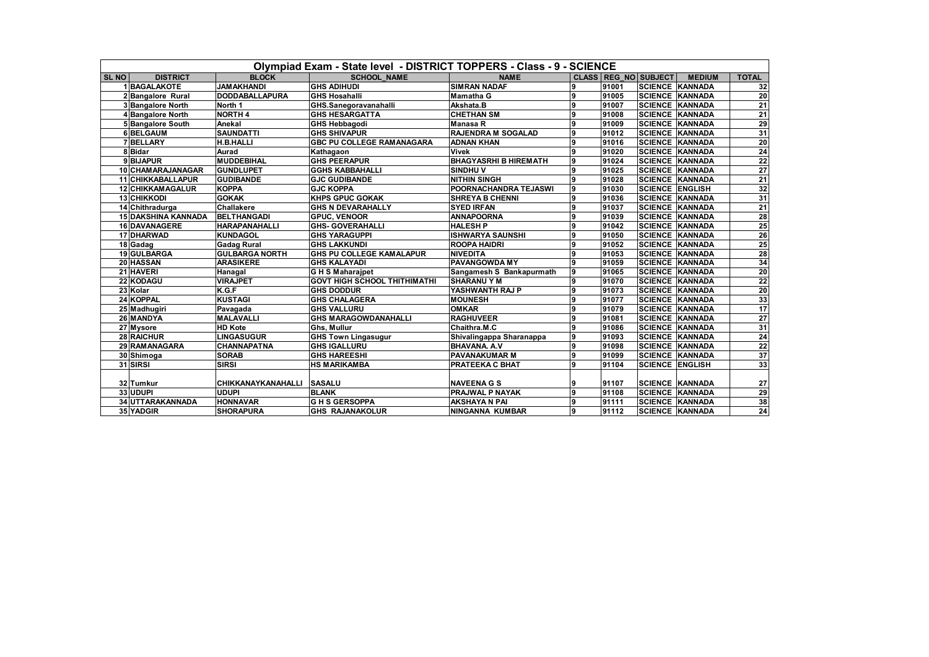|              | Olympiad Exam - State level - DISTRICT TOPPERS - Class - 9 - SCIENCE |                           |                                     |                              |   |       |                             |                        |                                                                                       |  |  |  |
|--------------|----------------------------------------------------------------------|---------------------------|-------------------------------------|------------------------------|---|-------|-----------------------------|------------------------|---------------------------------------------------------------------------------------|--|--|--|
| <b>SL NO</b> | <b>DISTRICT</b>                                                      | <b>BLOCK</b>              | <b>SCHOOL NAME</b>                  | <b>NAME</b>                  |   |       | <b>CLASS REG NO SUBJECT</b> | <b>MEDIUM</b>          | <b>TOTAL</b>                                                                          |  |  |  |
|              | 1 BAGALAKOTE                                                         | <b>JAMAKHANDI</b>         | <b>GHS ADIHUDI</b>                  | <b>SIMRAN NADAF</b>          | 9 | 91001 | <b>SCIENCE KANNADA</b>      |                        | 32                                                                                    |  |  |  |
|              | 2 Bangalore Rural                                                    | <b>DODDABALLAPURA</b>     | <b>GHS Hosahalli</b>                | <b>Mamatha G</b>             | 9 | 91005 | <b>SCIENCE KANNADA</b>      |                        | $\overline{20}$                                                                       |  |  |  |
|              | 3 Bangalore North                                                    | North 1                   | GHS.Sanegoravanahalli               | Akshata.B                    | 9 | 91007 | <b>SCIENCE KANNADA</b>      |                        | $\overline{21}$                                                                       |  |  |  |
|              | 4 Bangalore North                                                    | <b>NORTH4</b>             | <b>GHS HESARGATTA</b>               | <b>CHETHAN SM</b>            | 9 | 91008 | <b>SCIENCE KANNADA</b>      |                        | $\overline{21}$                                                                       |  |  |  |
|              | 5 Bangalore South                                                    | Anekal                    | <b>GHS Hebbagodi</b>                | <b>Manasa R</b>              | 9 | 91009 | <b>SCIENCE KANNADA</b>      |                        |                                                                                       |  |  |  |
|              | 6 BELGAUM                                                            | <b>SAUNDATTI</b>          | <b>GHS SHIVAPUR</b>                 | <b>RAJENDRA M SOGALAD</b>    | 9 | 91012 | <b>SCIENCE KANNADA</b>      |                        | $\frac{29}{31}$                                                                       |  |  |  |
|              | 7 BELLARY                                                            | H.B.HALLI                 | <b>GBC PU COLLEGE RAMANAGARA</b>    | <b>ADNAN KHAN</b>            | 9 | 91016 | <b>SCIENCE KANNADA</b>      |                        |                                                                                       |  |  |  |
|              | 8 Bidar                                                              | Aurad                     | Kathagaon                           | <b>Vivek</b>                 | 9 | 91020 | <b>SCIENCE KANNADA</b>      |                        | $\begin{array}{r}\n 20 \\  \hline\n 24 \\  \hline\n 22 \\  \hline\n 27\n \end{array}$ |  |  |  |
|              | 9 BIJAPUR                                                            | <b>MUDDEBIHAL</b>         | <b>GHS PEERAPUR</b>                 | <b>BHAGYASRHI B HIREMATH</b> | 9 | 91024 | <b>SCIENCE KANNADA</b>      |                        |                                                                                       |  |  |  |
|              | 10 CHAMARAJANAGAR                                                    | <b>GUNDLUPET</b>          | <b>GGHS KABBAHALLI</b>              | <b>SINDHUV</b>               | 9 | 91025 | <b>SCIENCE KANNADA</b>      |                        |                                                                                       |  |  |  |
|              | <b>11 CHIKKABALLAPUR</b>                                             | <b>GUDIBANDE</b>          | <b>GJC GUDIBANDE</b>                | <b>NITHIN SINGH</b>          | 9 | 91028 | <b>SCIENCE KANNADA</b>      |                        | $\frac{21}{32}$                                                                       |  |  |  |
|              | <b>12 CHIKKAMAGALUR</b>                                              | <b>KOPPA</b>              | <b>GJC KOPPA</b>                    | POORNACHANDRA TEJASWI        | 9 | 91030 | <b>SCIENCE ENGLISH</b>      |                        |                                                                                       |  |  |  |
|              | <b>13 CHIKKODI</b>                                                   | <b>GOKAK</b>              | <b>KHPS GPUC GOKAK</b>              | <b>SHREYA B CHENNI</b>       | 9 | 91036 | <b>SCIENCE KANNADA</b>      |                        | 31                                                                                    |  |  |  |
|              | 14 Chithradurga                                                      | <b>Challakere</b>         | <b>GHS N DEVARAHALLY</b>            | <b>SYED IRFAN</b>            | 9 | 91037 |                             | <b>SCIENCE KANNADA</b> |                                                                                       |  |  |  |
|              | <b>15 DAKSHINA KANNADA</b>                                           | <b>BELTHANGADI</b>        | <b>GPUC, VENOOR</b>                 | <b>ANNAPOORNA</b>            | 9 | 91039 | <b>SCIENCE KANNADA</b>      |                        |                                                                                       |  |  |  |
|              | 16 DAVANAGERE                                                        | <b>HARAPANAHALLI</b>      | <b>GHS- GOVERAHALLI</b>             | <b>HALESH P</b>              | 9 | 91042 | <b>SCIENCE KANNADA</b>      |                        | $\begin{array}{r}\n\overline{21} \\ \overline{28} \\ \overline{25}\n\end{array}$      |  |  |  |
|              | 17 DHARWAD                                                           | <b>KUNDAGOL</b>           | <b>GHS YARAGUPPI</b>                | <b>ISHWARYA SAUNSHI</b>      | 9 | 91050 | <b>SCIENCE KANNADA</b>      |                        | $\frac{26}{25}$                                                                       |  |  |  |
|              | 18 Gadag                                                             | <b>Gadag Rural</b>        | <b>GHS LAKKUNDI</b>                 | <b>ROOPA HAIDRI</b>          | 9 | 91052 | <b>SCIENCE KANNADA</b>      |                        |                                                                                       |  |  |  |
|              | 19 GULBARGA                                                          | <b>GULBARGA NORTH</b>     | GHS PU COLLEGE KAMALAPUR            | <b>NIVEDITA</b>              | 9 | 91053 | <b>SCIENCE KANNADA</b>      |                        |                                                                                       |  |  |  |
|              | 20 HASSAN                                                            | <b>ARASIKERE</b>          | <b>GHS KALAYADI</b>                 | <b>PAVANGOWDA MY</b>         | 9 | 91059 | <b>SCIENCE KANNADA</b>      |                        | $\frac{28}{34}$                                                                       |  |  |  |
|              | 21 HAVERI                                                            | Hanagal                   | <b>GHS Maharaipet</b>               | Sangamesh S Bankapurmath     | 9 | 91065 | <b>SCIENCE KANNADA</b>      |                        |                                                                                       |  |  |  |
|              | 22 KODAGU                                                            | <b>VIRAJPET</b>           | <b>GOVT HIGH SCHOOL THITHIMATHI</b> | <b>SHARANUYM</b>             | 9 | 91070 | <b>SCIENCE KANNADA</b>      |                        |                                                                                       |  |  |  |
|              | 23 Kolar                                                             | K.G.F                     | <b>GHS DODDUR</b>                   | YASHWANTH RAJ P              | 9 | 91073 | <b>SCIENCE KANNADA</b>      |                        | $\begin{array}{r} 20 \\ 22 \\ 20 \end{array}$                                         |  |  |  |
|              | 24 KOPPAL                                                            | <b>KUSTAGI</b>            | <b>GHS CHALAGERA</b>                | <b>MOUNESH</b>               | 9 | 91077 | <b>SCIENCE KANNADA</b>      |                        | $\frac{33}{17}$                                                                       |  |  |  |
|              | 25 Madhugiri                                                         | Pavagada                  | <b>GHS VALLURU</b>                  | <b>OMKAR</b>                 | 9 | 91079 | <b>SCIENCE KANNADA</b>      |                        |                                                                                       |  |  |  |
|              | 26 MANDYA                                                            | <b>MALAVALLI</b>          | <b>GHS MARAGOWDANAHALLI</b>         | <b>RAGHUVEER</b>             | 9 | 91081 | <b>SCIENCE</b>              | <b>KANNADA</b>         | 27                                                                                    |  |  |  |
|              | 27 Mysore                                                            | <b>HD Kote</b>            | Ghs, Mullur                         | Chaithra.M.C                 | 9 | 91086 | <b>SCIENCE</b>              | <b>KANNADA</b>         | 31                                                                                    |  |  |  |
|              | <b>28 RAICHUR</b>                                                    | LINGASUGUR                | <b>GHS Town Lingasugur</b>          | Shivalingappa Sharanappa     | 9 | 91093 | <b>SCIENCE KANNADA</b>      |                        |                                                                                       |  |  |  |
|              | 29 RAMANAGARA                                                        | <b>CHANNAPATNA</b>        | <b>GHS IGALLURU</b>                 | <b>BHAVANA, A.V.</b>         | 9 | 91098 | <b>SCIENCE KANNADA</b>      |                        |                                                                                       |  |  |  |
|              | 30 Shimoga                                                           | <b>SORAB</b>              | <b>GHS HAREESHI</b>                 | <b>PAVANAKUMAR M</b>         | 9 | 91099 |                             | <b>SCIENCE KANNADA</b> | $\begin{array}{r} 24 \\ 22 \\ 37 \end{array}$                                         |  |  |  |
|              | 31 SIRSI                                                             | <b>SIRSI</b>              | <b>HS MARIKAMBA</b>                 | PRATEEKA C BHAT              | 9 | 91104 | <b>SCIENCE ENGLISH</b>      |                        | 33                                                                                    |  |  |  |
|              |                                                                      |                           |                                     |                              |   |       |                             |                        |                                                                                       |  |  |  |
|              | 32 Tumkur                                                            | CHIKKANAYKANAHALLI SASALU |                                     | <b>NAVEENA G S</b>           | 9 | 91107 | <b>SCIENCE KANNADA</b>      |                        | 27                                                                                    |  |  |  |
|              | 33 UDUPI                                                             | <b>UDUPI</b>              | <b>BLANK</b>                        | <b>PRAJWAL P NAYAK</b>       | g | 91108 | <b>SCIENCE KANNADA</b>      |                        | 29                                                                                    |  |  |  |
|              | 34 UTTARAKANNADA                                                     | <b>HONNAVAR</b>           | <b>GHS GERSOPPA</b>                 | <b>AKSHAYA N PAI</b>         | 9 | 91111 | <b>SCIENCE KANNADA</b>      |                        | 38                                                                                    |  |  |  |
|              | 35 YADGIR                                                            | <b>SHORAPURA</b>          | <b>GHS RAJANAKOLUR</b>              | <b>NINGANNA KUMBAR</b>       | 9 | 91112 | <b>SCIENCE KANNADA</b>      |                        | $\overline{24}$                                                                       |  |  |  |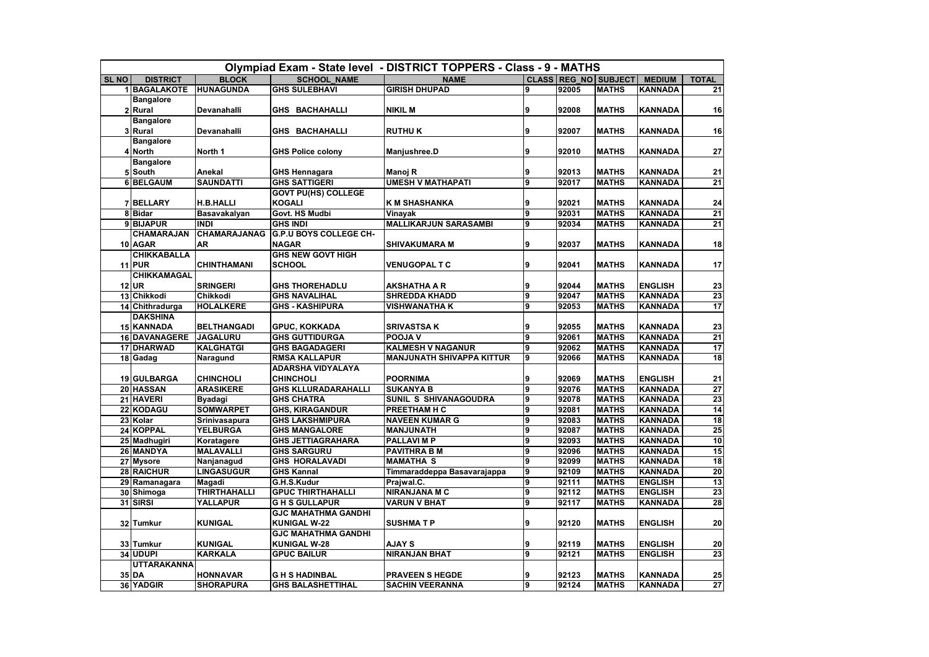| Olympiad Exam - State level - DISTRICT TOPPERS - Class - 9 - MATHS   |                      |                                        |                               |                                      |        |                |                              |                                  |                 |  |  |
|----------------------------------------------------------------------|----------------------|----------------------------------------|-------------------------------|--------------------------------------|--------|----------------|------------------------------|----------------------------------|-----------------|--|--|
| <b>BLOCK</b><br><b>SCHOOL NAME</b><br><b>SLNO</b><br><b>DISTRICT</b> |                      |                                        |                               | <b>NAME</b>                          |        |                | <b>CLASS REG NO SUBJECT</b>  | <b>MEDIUM</b>                    | <b>TOTAL</b>    |  |  |
|                                                                      | 1 BAGALAKOTE         | <b>HUNAGUNDA</b>                       | <b>GHS SULEBHAVI</b>          | <b>GIRISH DHUPAD</b>                 | 9      | 92005          | <b>MATHS</b>                 | <b>KANNADA</b>                   | 21              |  |  |
|                                                                      | <b>Bangalore</b>     |                                        |                               |                                      |        |                |                              |                                  |                 |  |  |
|                                                                      | 2 Rural              | Devanahalli                            | GHS BACHAHALLI                | <b>NIKIL M</b>                       | 9      | 92008          | <b>MATHS</b>                 | <b>KANNADA</b>                   | 16              |  |  |
|                                                                      | <b>Bangalore</b>     |                                        |                               |                                      |        |                |                              |                                  |                 |  |  |
|                                                                      | 3 Rural              | Devanahalli                            | GHS BACHAHALLI                | <b>RUTHUK</b>                        | 9      | 92007          | <b>MATHS</b>                 | <b>KANNADA</b>                   | 16              |  |  |
|                                                                      | <b>Bangalore</b>     |                                        |                               |                                      |        |                |                              |                                  |                 |  |  |
|                                                                      | 4 North              | North 1                                | <b>GHS Police colony</b>      | Manjushree.D                         | 9      | 92010          | <b>MATHS</b>                 | KANNADA                          | 27              |  |  |
|                                                                      | <b>Bangalore</b>     |                                        |                               |                                      |        |                |                              |                                  |                 |  |  |
|                                                                      | 5 South              | Anekal                                 | <b>GHS Hennagara</b>          | Manoj R                              | 9      | 92013          | <b>MATHS</b>                 | <b>KANNADA</b>                   | ${\bf 21}$      |  |  |
|                                                                      | 6BELGAUM             | <b>SAUNDATTI</b>                       | <b>GHS SATTIGERI</b>          | <b>UMESH V MATHAPATI</b>             | 9      | 92017          | <b>MATHS</b>                 | <b>KANNADA</b>                   | 21              |  |  |
|                                                                      |                      |                                        | <b>GOVT PU(HS) COLLEGE</b>    |                                      |        |                |                              |                                  |                 |  |  |
|                                                                      | 7 BELLARY            | <b>H.B.HALLI</b>                       | <b>KOGALI</b>                 | K M SHASHANKA                        | 9      | 92021          | <b>MATHS</b>                 | KANNADA                          | 24              |  |  |
|                                                                      | 8 Bidar              | Basavakalyan                           | Govt. HS Mudbi                | Vinayak                              | 9      | 92031          | <b>MATHS</b>                 | <b>KANNADA</b>                   | 21              |  |  |
|                                                                      | 9 BIJAPUR            | <b>INDI</b>                            | <b>GHS INDI</b>               | <b>MALLIKARJUN SARASAMBI</b>         | 9      | 92034          | <b>MATHS</b>                 | <b>KANNADA</b>                   | 21              |  |  |
|                                                                      | <b>CHAMARAJAN</b>    | CHAMARAJANAG                           | <b>G.P.U BOYS COLLEGE CH-</b> |                                      |        |                |                              |                                  |                 |  |  |
|                                                                      | 10 AGAR              | AR                                     | <b>NAGAR</b>                  | <b>SHIVAKUMARA M</b>                 | 9      | 92037          | <b>MATHS</b>                 | <b>KANNADA</b>                   | 18              |  |  |
|                                                                      | <b>CHIKKABALLA</b>   |                                        | <b>GHS NEW GOVT HIGH</b>      |                                      |        |                |                              |                                  |                 |  |  |
|                                                                      | <b>11 PUR</b>        | <b>CHINTHAMANI</b>                     | <b>SCHOOL</b>                 | VENUGOPAL T C                        | 9      | 92041          | <b>MATHS</b>                 | KANNADA                          | 17              |  |  |
|                                                                      | <b>CHIKKAMAGAL</b>   |                                        |                               |                                      |        |                |                              |                                  |                 |  |  |
|                                                                      | $12$ UR              | <b>SRINGERI</b>                        | <b>GHS THOREHADLU</b>         | <b>AKSHATHA A R</b>                  | 9      | 92044          | <b>MATHS</b>                 | <b>ENGLISH</b>                   | 23              |  |  |
|                                                                      | 13 Chikkodi          | Chikkodi                               | <b>GHS NAVALIHAL</b>          | <b>SHREDDA KHADD</b>                 | 9      | 92047          | <b>MATHS</b>                 | <b>KANNADA</b>                   | $\overline{23}$ |  |  |
|                                                                      | 14 Chithradurga      | <b>HOLALKERE</b>                       | <b>GHS - KASHIPURA</b>        | VISHWANATHA K                        | 9      | 92053          | <b>MATHS</b>                 | <b>KANNADA</b>                   | 17              |  |  |
|                                                                      | <b>DAKSHINA</b>      |                                        |                               |                                      |        |                |                              |                                  |                 |  |  |
|                                                                      | <b>15 KANNADA</b>    | <b>BELTHANGADI</b>                     | <b>GPUC, KOKKADA</b>          | <b>SRIVASTSA K</b>                   | 9      | 92055          | <b>MATHS</b>                 | <b>KANNADA</b>                   | 23              |  |  |
|                                                                      | <b>16 DAVANAGERE</b> | <b>JAGALURU</b>                        | <b>GHS GUTTIDURGA</b>         | POOJA V                              | 9      | 92061          | <b>MATHS</b>                 | <b>KANNADA</b>                   | 21              |  |  |
|                                                                      | <b>17 DHARWAD</b>    | <b>KALGHATGI</b>                       | <b>GHS BAGADAGERI</b>         | <b>KALMESH V NAGANUR</b>             | 9      | 92062          | <b>MATHS</b>                 | <b>KANNADA</b>                   | 17              |  |  |
|                                                                      | 18 Gadag             | Naragund                               | <b>RMSA KALLAPUR</b>          | MANJUNATH SHIVAPPA KITTUR            | 9      | 92066          | <b>MATHS</b>                 | <b>KANNADA</b>                   | 18              |  |  |
|                                                                      |                      |                                        | ADARSHA VIDYALAYA             |                                      |        |                |                              |                                  |                 |  |  |
|                                                                      | 19 GULBARGA          | <b>CHINCHOLI</b>                       | <b>CHINCHOLI</b>              | <b>POORNIMA</b>                      | 9      | 92069          | <b>MATHS</b>                 | <b>ENGLISH</b>                   | 21              |  |  |
|                                                                      | 20 HASSAN            | <b>ARASIKERE</b>                       | <b>GHS KLLURADARAHALLI</b>    | <b>SUKANYA B</b>                     | 9      | 92076          | <b>MATHS</b>                 | <b>KANNADA</b>                   | $\overline{27}$ |  |  |
|                                                                      | 21 HAVERI            | <b>Byadagi</b>                         | <b>GHS CHATRA</b>             | SUNIL S SHIVANAGOUDRA                | 9      | 92078          | <b>MATHS</b>                 | <b>KANNADA</b>                   | 23              |  |  |
|                                                                      | 22 KODAGU            | <b>SOMWARPET</b>                       | <b>GHS, KIRAGANDUR</b>        | PREETHAM H C                         | 9      | 92081          | <b>MATHS</b>                 | <b>KANNADA</b>                   | 14              |  |  |
|                                                                      | 23 Kolar             | <b>Srinivasapura</b>                   | <b>GHS LAKSHMIPURA</b>        | <b>NAVEEN KUMAR G</b>                | 9      | 92083          | <b>MATHS</b>                 | <b>KANNADA</b>                   | 18              |  |  |
|                                                                      | 24 KOPPAL            | <b>YELBURGA</b>                        | <b>GHS MANGALORE</b>          | <b>MANJUNATH</b>                     | 9      | 92087          | <b>MATHS</b>                 | <b>KANNADA</b>                   | 25              |  |  |
|                                                                      | 25 Madhugiri         | Koratagere                             | <b>GHS JETTIAGRAHARA</b>      | PALLAVI M P                          | 9      | 92093          | <b>MATHS</b>                 | <b>KANNADA</b>                   | 10              |  |  |
|                                                                      | 26 MANDYA            | <b>MALAVALLI</b>                       | <b>GHS SARGURU</b>            | <b>PAVITHRA B M</b>                  | 9      | 92096          | <b>MATHS</b>                 | <b>KANNADA</b>                   | 15              |  |  |
|                                                                      | 27 Mysore            | Nanjanagud                             | <b>GHS HORALAVADI</b>         | <b>MAMATHA S</b>                     | 9      | 92099          | <b>MATHS</b>                 | <b>KANNADA</b>                   | 18              |  |  |
|                                                                      | 28 RAICHUR           | <b>LINGASUGUR</b>                      | <b>GHS Kannal</b>             | Timmaraddeppa Basavarajappa          | 9      | 92109          | <b>MATHS</b>                 | <b>KANNADA</b>                   | 20              |  |  |
|                                                                      | 29 Ramanagara        | Magadi                                 | G.H.S.Kudur                   | Prajwal.C.                           | 9      | 92111          | <b>MATHS</b>                 | <b>ENGLISH</b>                   | 13              |  |  |
|                                                                      | 30 Shimoga           | <b>THIRTHAHALLI</b><br><b>YALLAPUR</b> | <b>GPUC THIRTHAHALLI</b>      | NIRANJANA M C<br><b>VARUN V BHAT</b> | 9<br>9 | 92112<br>92117 | <b>MATHS</b><br><b>MATHS</b> | <b>ENGLISH</b><br><b>KANNADA</b> | 23              |  |  |
|                                                                      | 31 SIRSI             |                                        | <b>GHS GULLAPUR</b>           |                                      |        |                |                              |                                  | 28              |  |  |
|                                                                      |                      |                                        | <b>GJC MAHATHMA GANDHI</b>    |                                      |        |                |                              |                                  |                 |  |  |
|                                                                      | 32 Tumkur            | <b>KUNIGAL</b>                         | <b>KUNIGAL W-22</b>           | <b>SUSHMATP</b>                      | 9      | 92120          | <b>MATHS</b>                 | <b>ENGLISH</b>                   | 20              |  |  |
|                                                                      |                      |                                        | <b>GJC MAHATHMA GANDHI</b>    |                                      |        |                |                              |                                  |                 |  |  |
|                                                                      | 33 Tumkur            | <b>KUNIGAL</b>                         | <b>KUNIGAL W-28</b>           | <b>AJAY S</b>                        | 9      | 92119          | <b>MATHS</b>                 | <b>ENGLISH</b>                   | 20              |  |  |
|                                                                      | 34 UDUPI             | <b>KARKALA</b>                         | <b>GPUC BAILUR</b>            | <b>NIRANJAN BHAT</b>                 | 9      | 92121          | <b>MATHS</b>                 | <b>ENGLISH</b>                   | 23              |  |  |
|                                                                      | <b>UTTARAKANNA</b>   |                                        |                               |                                      |        |                |                              |                                  |                 |  |  |
|                                                                      | 35 DA                | <b>HONNAVAR</b>                        | <b>GHS HADINBAL</b>           | <b>PRAVEEN S HEGDE</b>               | 9      | 92123          | <b>MATHS</b>                 | <b>KANNADA</b>                   | 25              |  |  |
|                                                                      | 36 YADGIR            | <b>SHORAPURA</b>                       | <b>GHS BALASHETTIHAL</b>      | <b>SACHIN VEERANNA</b>               | 9      | 92124          | <b>MATHS</b>                 | <b>KANNADA</b>                   | 27              |  |  |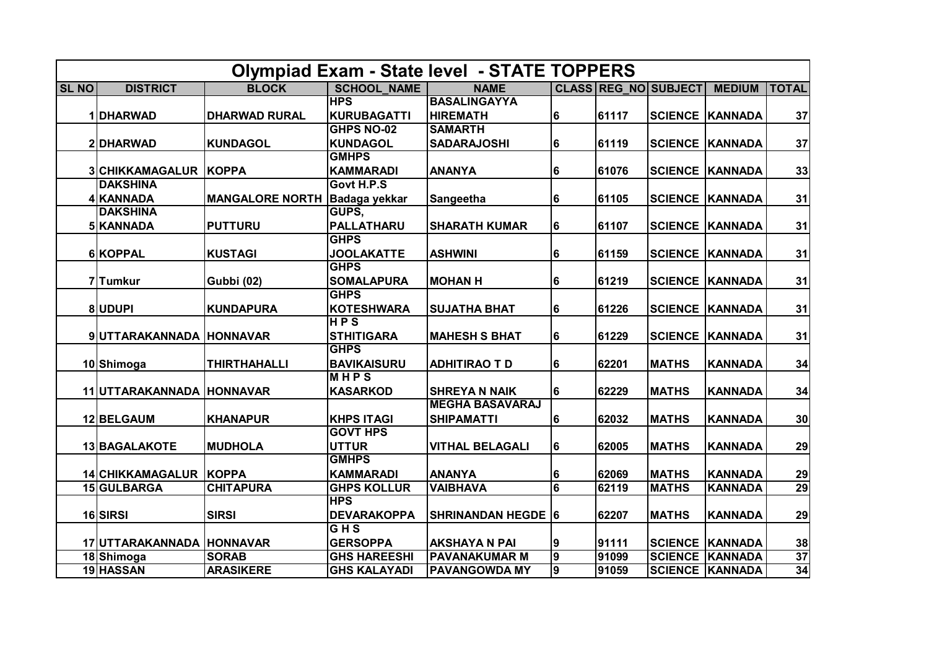| <b>Olympiad Exam - State level - STATE TOPPERS</b> |                           |                        |                      |                           |                |       |                             |                        |              |  |  |
|----------------------------------------------------|---------------------------|------------------------|----------------------|---------------------------|----------------|-------|-----------------------------|------------------------|--------------|--|--|
| <b>SL NO</b>                                       | <b>DISTRICT</b>           | <b>BLOCK</b>           | <b>SCHOOL NAME</b>   | <b>NAME</b>               |                |       | <b>CLASS REG NO SUBJECT</b> | <b>MEDIUM</b>          | <b>TOTAL</b> |  |  |
|                                                    |                           |                        | <b>HPS</b>           | <b>BASALINGAYYA</b>       |                |       |                             |                        |              |  |  |
|                                                    | 1 DHARWAD                 | <b>DHARWAD RURAL</b>   | <b>KURUBAGATTI</b>   | <b>HIREMATH</b>           | 6              | 61117 |                             | <b>SCIENCE KANNADA</b> | 37           |  |  |
|                                                    |                           |                        | <b>GHPS NO-02</b>    | <b>SAMARTH</b>            |                |       |                             |                        |              |  |  |
|                                                    | 2 DHARWAD                 | <b>KUNDAGOL</b>        | <b>KUNDAGOL</b>      | <b>SADARAJOSHI</b>        | 6              | 61119 |                             | <b>SCIENCE KANNADA</b> | 37           |  |  |
|                                                    |                           |                        | <b>GMHPS</b>         |                           |                |       |                             |                        |              |  |  |
|                                                    | <b>3 CHIKKAMAGALUR</b>    | KOPPA                  | <b>KAMMARADI</b>     | <b>ANANYA</b>             | 6              | 61076 |                             | <b>SCIENCE KANNADA</b> | 33           |  |  |
|                                                    | <b>DAKSHINA</b>           |                        | Govt H.P.S           |                           |                |       |                             |                        |              |  |  |
|                                                    | 4 KANNADA                 | <b>MANGALORE NORTH</b> | <b>Badaga yekkar</b> | <b>Sangeetha</b>          | 6              | 61105 |                             | <b>SCIENCE KANNADA</b> | 31           |  |  |
|                                                    | <b>DAKSHINA</b>           |                        | GUPS,                |                           |                |       |                             |                        |              |  |  |
|                                                    | 5 KANNADA                 | <b>PUTTURU</b>         | <b>PALLATHARU</b>    | <b>SHARATH KUMAR</b>      | 6              | 61107 |                             | <b>SCIENCE KANNADA</b> | 31           |  |  |
|                                                    |                           |                        | <b>GHPS</b>          |                           |                |       |                             |                        |              |  |  |
|                                                    | 6 KOPPAL                  | <b>KUSTAGI</b>         | <b>JOOLAKATTE</b>    | <b>ASHWINI</b>            | 6              | 61159 |                             | <b>SCIENCE KANNADA</b> | 31           |  |  |
|                                                    |                           |                        | <b>GHPS</b>          |                           |                |       |                             |                        |              |  |  |
|                                                    | 7Tumkur                   | <b>Gubbi (02)</b>      | <b>SOMALAPURA</b>    | <b>MOHAN H</b>            | 6              | 61219 |                             | <b>SCIENCE KANNADA</b> | 31           |  |  |
|                                                    |                           |                        | <b>GHPS</b>          |                           |                |       |                             |                        |              |  |  |
|                                                    | 8 UDUPI                   | <b>KUNDAPURA</b>       | <b>KOTESHWARA</b>    | <b>SUJATHA BHAT</b>       | 6              | 61226 |                             | <b>SCIENCE KANNADA</b> | 31           |  |  |
|                                                    |                           |                        | <b>HPS</b>           |                           |                |       |                             |                        |              |  |  |
|                                                    | 9 UTTARAKANNADA           | <b>HONNAVAR</b>        | <b>STHITIGARA</b>    | <b>MAHESH S BHAT</b>      | 6              | 61229 |                             | <b>SCIENCE KANNADA</b> | 31           |  |  |
|                                                    |                           |                        | <b>GHPS</b>          |                           |                |       |                             |                        |              |  |  |
|                                                    | 10 Shimoga                | <b>THIRTHAHALLI</b>    | <b>BAVIKAISURU</b>   | <b>ADHITIRAO T D</b>      | 6              | 62201 | <b>MATHS</b>                | <b>KANNADA</b>         | 34           |  |  |
|                                                    |                           |                        | <b>MHPS</b>          |                           |                |       |                             |                        |              |  |  |
|                                                    | 11 UTTARAKANNADA HONNAVAR |                        | <b>KASARKOD</b>      | <b>SHREYA N NAIK</b>      | 6              | 62229 | <b>MATHS</b>                | <b>KANNADA</b>         | 34           |  |  |
|                                                    |                           |                        |                      | <b>MEGHA BASAVARAJ</b>    |                |       |                             |                        |              |  |  |
|                                                    | 12 BELGAUM                | <b>KHANAPUR</b>        | <b>KHPS ITAGI</b>    | <b>SHIPAMATTI</b>         | 6              | 62032 | <b>MATHS</b>                | <b>KANNADA</b>         | 30           |  |  |
|                                                    |                           |                        | <b>GOVT HPS</b>      |                           |                |       |                             |                        |              |  |  |
|                                                    | 13 BAGALAKOTE             | <b>MUDHOLA</b>         | <b>UTTUR</b>         | <b>VITHAL BELAGALI</b>    | 16             | 62005 | <b>MATHS</b>                | <b>KANNADA</b>         | 29           |  |  |
|                                                    |                           |                        | <b>GMHPS</b>         |                           |                |       |                             |                        |              |  |  |
|                                                    | <b>14 CHIKKAMAGALUR</b>   | <b>KOPPA</b>           | <b>KAMMARADI</b>     | <b>ANANYA</b>             | 6              | 62069 | <b>MATHS</b>                | <b>KANNADA</b>         | 29           |  |  |
|                                                    | 15 GULBARGA               | <b>CHITAPURA</b>       | <b>GHPS KOLLUR</b>   | <b>VAIBHAVA</b>           | $\overline{6}$ | 62119 | <b>MATHS</b>                | <b>KANNADA</b>         | 29           |  |  |
|                                                    |                           |                        | <b>HPS</b>           |                           |                |       |                             |                        |              |  |  |
|                                                    | 16 SIRSI                  | <b>SIRSI</b>           | <b>DEVARAKOPPA</b>   | <b>SHRINANDAN HEGDE 6</b> |                | 62207 | <b>MATHS</b>                | <b>KANNADA</b>         | 29           |  |  |
|                                                    |                           |                        | $G$ H S              |                           |                |       |                             |                        |              |  |  |
|                                                    | 17 UTTARAKANNADA          | <b>HONNAVAR</b>        | <b>GERSOPPA</b>      | <b>AKSHAYA N PAI</b>      | 9              | 91111 |                             | <b>SCIENCE KANNADA</b> | 38           |  |  |
|                                                    | 18 Shimoga                | <b>SORAB</b>           | <b>GHS HAREESHI</b>  | <b>PAVANAKUMAR M</b>      | g              | 91099 |                             | <b>SCIENCE KANNADA</b> | 37           |  |  |
|                                                    | 19 HASSAN                 | <b>ARASIKERE</b>       | <b>GHS KALAYADI</b>  | <b>PAVANGOWDA MY</b>      | g              | 91059 | <b>SCIENCE</b>              | KANNADA                | 34           |  |  |